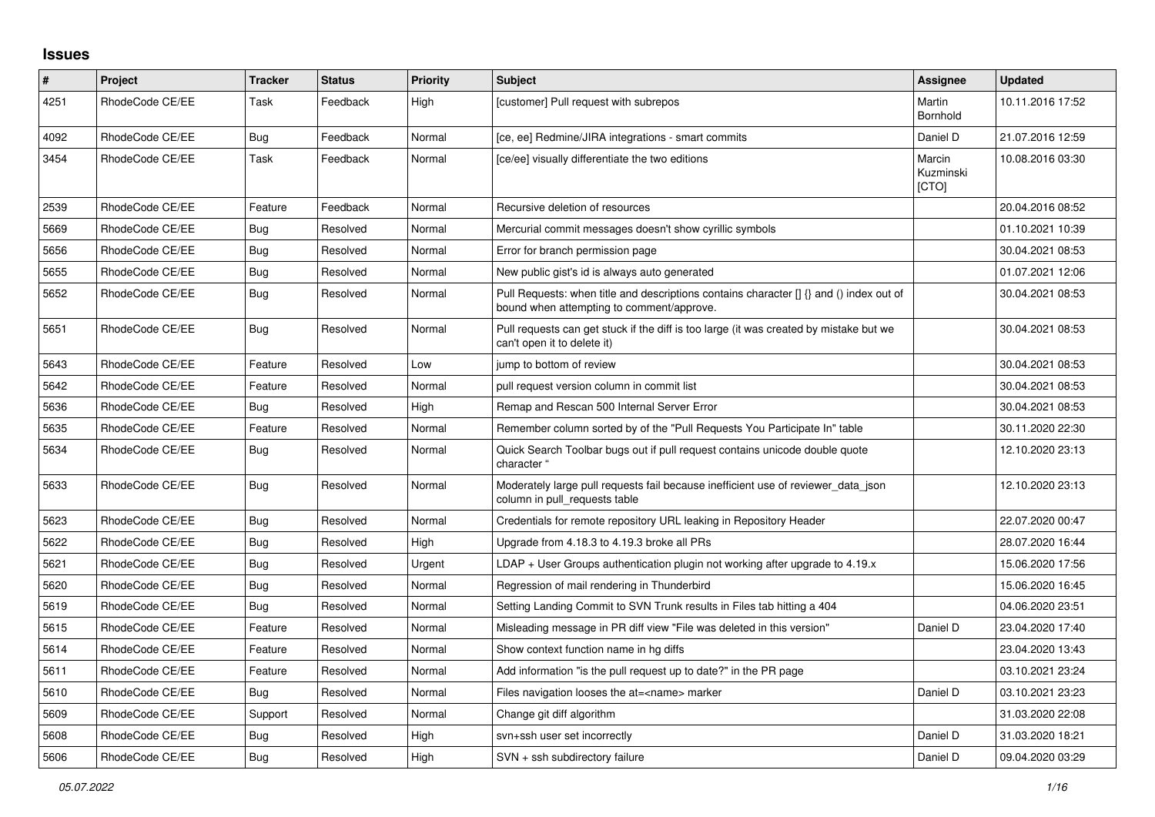## **Issues**

| $\pmb{\#}$ | Project         | Tracker    | <b>Status</b> | <b>Priority</b> | <b>Subject</b>                                                                                                                         | Assignee                     | <b>Updated</b>   |
|------------|-----------------|------------|---------------|-----------------|----------------------------------------------------------------------------------------------------------------------------------------|------------------------------|------------------|
| 4251       | RhodeCode CE/EE | Task       | Feedback      | High            | [customer] Pull request with subrepos                                                                                                  | Martin<br>Bornhold           | 10.11.2016 17:52 |
| 4092       | RhodeCode CE/EE | Bug        | Feedback      | Normal          | [ce, ee] Redmine/JIRA integrations - smart commits                                                                                     | Daniel D                     | 21.07.2016 12:59 |
| 3454       | RhodeCode CE/EE | Task       | Feedback      | Normal          | [ce/ee] visually differentiate the two editions                                                                                        | Marcin<br>Kuzminski<br>[CTO] | 10.08.2016 03:30 |
| 2539       | RhodeCode CE/EE | Feature    | Feedback      | Normal          | Recursive deletion of resources                                                                                                        |                              | 20.04.2016 08:52 |
| 5669       | RhodeCode CE/EE | Bug        | Resolved      | Normal          | Mercurial commit messages doesn't show cyrillic symbols                                                                                |                              | 01.10.2021 10:39 |
| 5656       | RhodeCode CE/EE | <b>Bug</b> | Resolved      | Normal          | Error for branch permission page                                                                                                       |                              | 30.04.2021 08:53 |
| 5655       | RhodeCode CE/EE | <b>Bug</b> | Resolved      | Normal          | New public gist's id is always auto generated                                                                                          |                              | 01.07.2021 12:06 |
| 5652       | RhodeCode CE/EE | Bug        | Resolved      | Normal          | Pull Requests: when title and descriptions contains character $\iint$ and () index out of<br>bound when attempting to comment/approve. |                              | 30.04.2021 08:53 |
| 5651       | RhodeCode CE/EE | <b>Bug</b> | Resolved      | Normal          | Pull requests can get stuck if the diff is too large (it was created by mistake but we<br>can't open it to delete it)                  |                              | 30.04.2021 08:53 |
| 5643       | RhodeCode CE/EE | Feature    | Resolved      | Low             | jump to bottom of review                                                                                                               |                              | 30.04.2021 08:53 |
| 5642       | RhodeCode CE/EE | Feature    | Resolved      | Normal          | pull request version column in commit list                                                                                             |                              | 30.04.2021 08:53 |
| 5636       | RhodeCode CE/EE | Bug        | Resolved      | High            | Remap and Rescan 500 Internal Server Error                                                                                             |                              | 30.04.2021 08:53 |
| 5635       | RhodeCode CE/EE | Feature    | Resolved      | Normal          | Remember column sorted by of the "Pull Requests You Participate In" table                                                              |                              | 30.11.2020 22:30 |
| 5634       | RhodeCode CE/EE | <b>Bug</b> | Resolved      | Normal          | Quick Search Toolbar bugs out if pull request contains unicode double quote<br>character "                                             |                              | 12.10.2020 23:13 |
| 5633       | RhodeCode CE/EE | Bug        | Resolved      | Normal          | Moderately large pull requests fail because inefficient use of reviewer_data_json<br>column in pull_requests table                     |                              | 12.10.2020 23:13 |
| 5623       | RhodeCode CE/EE | <b>Bug</b> | Resolved      | Normal          | Credentials for remote repository URL leaking in Repository Header                                                                     |                              | 22.07.2020 00:47 |
| 5622       | RhodeCode CE/EE | Bug        | Resolved      | High            | Upgrade from 4.18.3 to 4.19.3 broke all PRs                                                                                            |                              | 28.07.2020 16:44 |
| 5621       | RhodeCode CE/EE | Bug        | Resolved      | Urgent          | $LDAP + User Groups$ authentication plugin not working after upgrade to 4.19. $x$                                                      |                              | 15.06.2020 17:56 |
| 5620       | RhodeCode CE/EE | <b>Bug</b> | Resolved      | Normal          | Regression of mail rendering in Thunderbird                                                                                            |                              | 15.06.2020 16:45 |
| 5619       | RhodeCode CE/EE | <b>Bug</b> | Resolved      | Normal          | Setting Landing Commit to SVN Trunk results in Files tab hitting a 404                                                                 |                              | 04.06.2020 23:51 |
| 5615       | RhodeCode CE/EE | Feature    | Resolved      | Normal          | Misleading message in PR diff view "File was deleted in this version"                                                                  | Daniel D                     | 23.04.2020 17:40 |
| 5614       | RhodeCode CE/EE | Feature    | Resolved      | Normal          | Show context function name in hg diffs                                                                                                 |                              | 23.04.2020 13:43 |
| 5611       | RhodeCode CE/EE | Feature    | Resolved      | Normal          | Add information "is the pull request up to date?" in the PR page                                                                       |                              | 03.10.2021 23:24 |
| 5610       | RhodeCode CE/EE | Bug        | Resolved      | Normal          | Files navigation looses the at= <name> marker</name>                                                                                   | Daniel D                     | 03.10.2021 23:23 |
| 5609       | RhodeCode CE/EE | Support    | Resolved      | Normal          | Change git diff algorithm                                                                                                              |                              | 31.03.2020 22:08 |
| 5608       | RhodeCode CE/EE | <b>Bug</b> | Resolved      | High            | svn+ssh user set incorrectly                                                                                                           | Daniel D                     | 31.03.2020 18:21 |
| 5606       | RhodeCode CE/EE | Bug        | Resolved      | High            | SVN + ssh subdirectory failure                                                                                                         | Daniel D                     | 09.04.2020 03:29 |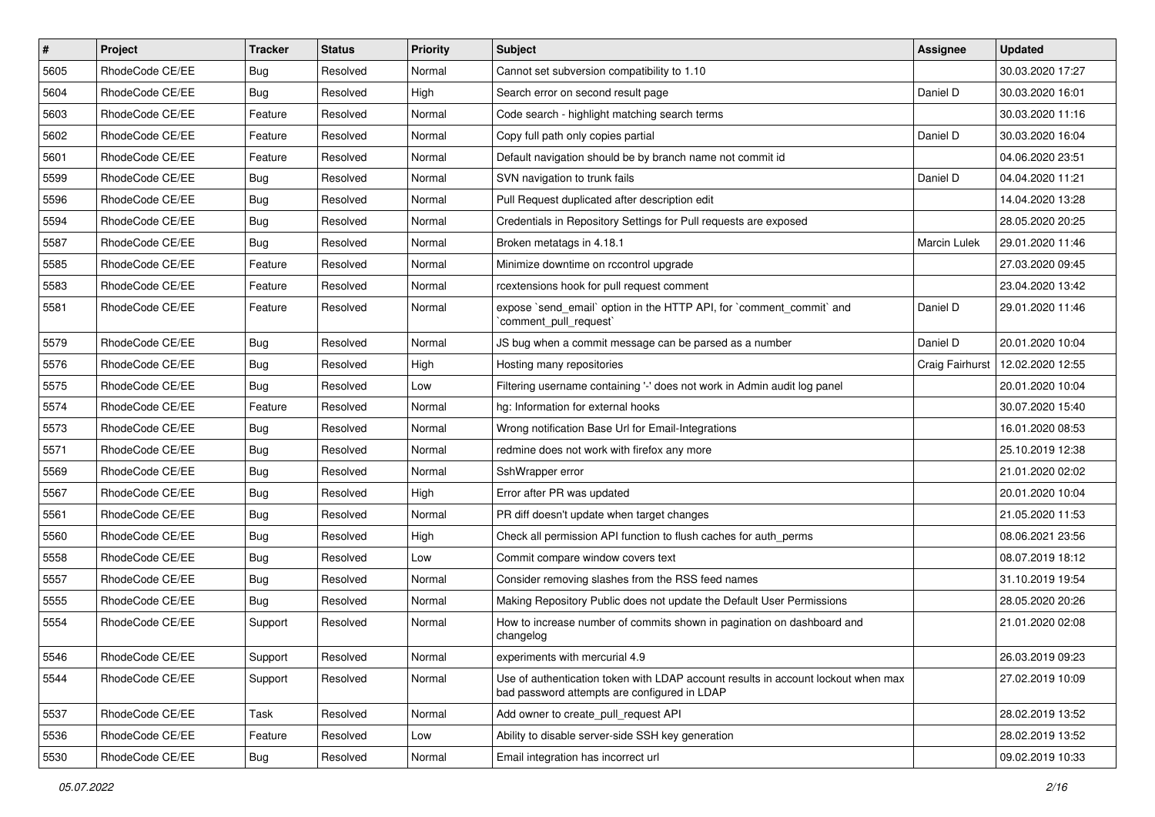| $\sharp$ | Project         | <b>Tracker</b> | <b>Status</b> | Priority | <b>Subject</b>                                                                                                                    | <b>Assignee</b>     | <b>Updated</b>   |
|----------|-----------------|----------------|---------------|----------|-----------------------------------------------------------------------------------------------------------------------------------|---------------------|------------------|
| 5605     | RhodeCode CE/EE | Bug            | Resolved      | Normal   | Cannot set subversion compatibility to 1.10                                                                                       |                     | 30.03.2020 17:27 |
| 5604     | RhodeCode CE/EE | Bug            | Resolved      | High     | Search error on second result page                                                                                                | Daniel D            | 30.03.2020 16:01 |
| 5603     | RhodeCode CE/EE | Feature        | Resolved      | Normal   | Code search - highlight matching search terms                                                                                     |                     | 30.03.2020 11:16 |
| 5602     | RhodeCode CE/EE | Feature        | Resolved      | Normal   | Copy full path only copies partial                                                                                                | Daniel D            | 30.03.2020 16:04 |
| 5601     | RhodeCode CE/EE | Feature        | Resolved      | Normal   | Default navigation should be by branch name not commit id                                                                         |                     | 04.06.2020 23:51 |
| 5599     | RhodeCode CE/EE | Bug            | Resolved      | Normal   | SVN navigation to trunk fails                                                                                                     | Daniel D            | 04.04.2020 11:21 |
| 5596     | RhodeCode CE/EE | Bug            | Resolved      | Normal   | Pull Request duplicated after description edit                                                                                    |                     | 14.04.2020 13:28 |
| 5594     | RhodeCode CE/EE | Bug            | Resolved      | Normal   | Credentials in Repository Settings for Pull requests are exposed                                                                  |                     | 28.05.2020 20:25 |
| 5587     | RhodeCode CE/EE | Bug            | Resolved      | Normal   | Broken metatags in 4.18.1                                                                                                         | <b>Marcin Lulek</b> | 29.01.2020 11:46 |
| 5585     | RhodeCode CE/EE | Feature        | Resolved      | Normal   | Minimize downtime on rccontrol upgrade                                                                                            |                     | 27.03.2020 09:45 |
| 5583     | RhodeCode CE/EE | Feature        | Resolved      | Normal   | rcextensions hook for pull request comment                                                                                        |                     | 23.04.2020 13:42 |
| 5581     | RhodeCode CE/EE | Feature        | Resolved      | Normal   | expose `send_email` option in the HTTP API, for `comment_commit` and<br>`comment_pull_request`                                    | Daniel D            | 29.01.2020 11:46 |
| 5579     | RhodeCode CE/EE | Bug            | Resolved      | Normal   | JS bug when a commit message can be parsed as a number                                                                            | Daniel D            | 20.01.2020 10:04 |
| 5576     | RhodeCode CE/EE | Bug            | Resolved      | High     | Hosting many repositories                                                                                                         | Craig Fairhurst     | 12.02.2020 12:55 |
| 5575     | RhodeCode CE/EE | Bug            | Resolved      | Low      | Filtering username containing '-' does not work in Admin audit log panel                                                          |                     | 20.01.2020 10:04 |
| 5574     | RhodeCode CE/EE | Feature        | Resolved      | Normal   | hg: Information for external hooks                                                                                                |                     | 30.07.2020 15:40 |
| 5573     | RhodeCode CE/EE | Bug            | Resolved      | Normal   | Wrong notification Base Url for Email-Integrations                                                                                |                     | 16.01.2020 08:53 |
| 5571     | RhodeCode CE/EE | Bug            | Resolved      | Normal   | redmine does not work with firefox any more                                                                                       |                     | 25.10.2019 12:38 |
| 5569     | RhodeCode CE/EE | <b>Bug</b>     | Resolved      | Normal   | SshWrapper error                                                                                                                  |                     | 21.01.2020 02:02 |
| 5567     | RhodeCode CE/EE | Bug            | Resolved      | High     | Error after PR was updated                                                                                                        |                     | 20.01.2020 10:04 |
| 5561     | RhodeCode CE/EE | Bug            | Resolved      | Normal   | PR diff doesn't update when target changes                                                                                        |                     | 21.05.2020 11:53 |
| 5560     | RhodeCode CE/EE | <b>Bug</b>     | Resolved      | High     | Check all permission API function to flush caches for auth_perms                                                                  |                     | 08.06.2021 23:56 |
| 5558     | RhodeCode CE/EE | Bug            | Resolved      | Low      | Commit compare window covers text                                                                                                 |                     | 08.07.2019 18:12 |
| 5557     | RhodeCode CE/EE | Bug            | Resolved      | Normal   | Consider removing slashes from the RSS feed names                                                                                 |                     | 31.10.2019 19:54 |
| 5555     | RhodeCode CE/EE | Bug            | Resolved      | Normal   | Making Repository Public does not update the Default User Permissions                                                             |                     | 28.05.2020 20:26 |
| 5554     | RhodeCode CE/EE | Support        | Resolved      | Normal   | How to increase number of commits shown in pagination on dashboard and<br>changelog                                               |                     | 21.01.2020 02:08 |
| 5546     | RhodeCode CE/EE | Support        | Resolved      | Normal   | experiments with mercurial 4.9                                                                                                    |                     | 26.03.2019 09:23 |
| 5544     | RhodeCode CE/EE | Support        | Resolved      | Normal   | Use of authentication token with LDAP account results in account lockout when max<br>bad password attempts are configured in LDAP |                     | 27.02.2019 10:09 |
| 5537     | RhodeCode CE/EE | Task           | Resolved      | Normal   | Add owner to create_pull_request API                                                                                              |                     | 28.02.2019 13:52 |
| 5536     | RhodeCode CE/EE | Feature        | Resolved      | Low      | Ability to disable server-side SSH key generation                                                                                 |                     | 28.02.2019 13:52 |
| 5530     | RhodeCode CE/EE | Bug            | Resolved      | Normal   | Email integration has incorrect url                                                                                               |                     | 09.02.2019 10:33 |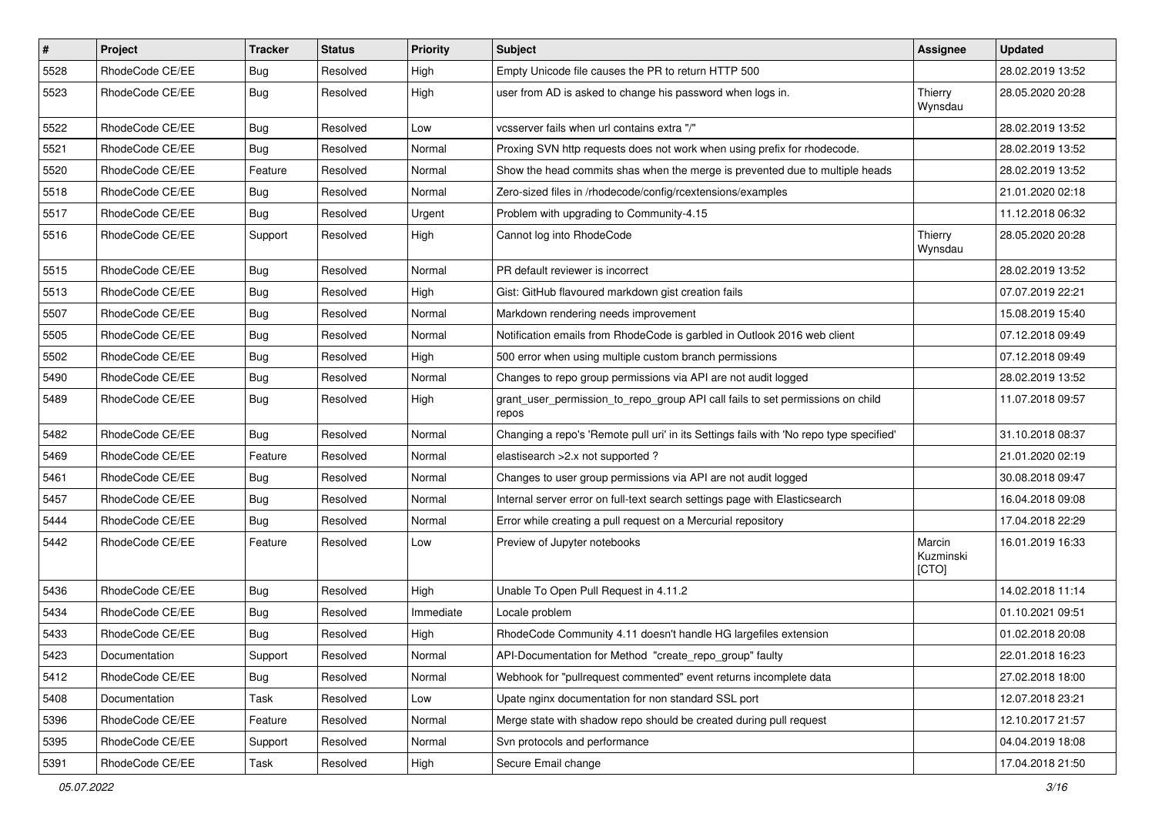| $\pmb{\#}$ | Project         | <b>Tracker</b> | <b>Status</b> | <b>Priority</b> | <b>Subject</b>                                                                          | <b>Assignee</b>              | <b>Updated</b>   |
|------------|-----------------|----------------|---------------|-----------------|-----------------------------------------------------------------------------------------|------------------------------|------------------|
| 5528       | RhodeCode CE/EE | <b>Bug</b>     | Resolved      | High            | Empty Unicode file causes the PR to return HTTP 500                                     |                              | 28.02.2019 13:52 |
| 5523       | RhodeCode CE/EE | Bug            | Resolved      | High            | user from AD is asked to change his password when logs in.                              | Thierry<br>Wynsdau           | 28.05.2020 20:28 |
| 5522       | RhodeCode CE/EE | Bug            | Resolved      | Low             | vcsserver fails when url contains extra "/"                                             |                              | 28.02.2019 13:52 |
| 5521       | RhodeCode CE/EE | <b>Bug</b>     | Resolved      | Normal          | Proxing SVN http requests does not work when using prefix for rhodecode.                |                              | 28.02.2019 13:52 |
| 5520       | RhodeCode CE/EE | Feature        | Resolved      | Normal          | Show the head commits shas when the merge is prevented due to multiple heads            |                              | 28.02.2019 13:52 |
| 5518       | RhodeCode CE/EE | Bug            | Resolved      | Normal          | Zero-sized files in /rhodecode/config/rcextensions/examples                             |                              | 21.01.2020 02:18 |
| 5517       | RhodeCode CE/EE | Bug            | Resolved      | Urgent          | Problem with upgrading to Community-4.15                                                |                              | 11.12.2018 06:32 |
| 5516       | RhodeCode CE/EE | Support        | Resolved      | High            | Cannot log into RhodeCode                                                               | Thierry<br>Wynsdau           | 28.05.2020 20:28 |
| 5515       | RhodeCode CE/EE | Bug            | Resolved      | Normal          | PR default reviewer is incorrect                                                        |                              | 28.02.2019 13:52 |
| 5513       | RhodeCode CE/EE | <b>Bug</b>     | Resolved      | High            | Gist: GitHub flavoured markdown gist creation fails                                     |                              | 07.07.2019 22:21 |
| 5507       | RhodeCode CE/EE | Bug            | Resolved      | Normal          | Markdown rendering needs improvement                                                    |                              | 15.08.2019 15:40 |
| 5505       | RhodeCode CE/EE | <b>Bug</b>     | Resolved      | Normal          | Notification emails from RhodeCode is garbled in Outlook 2016 web client                |                              | 07.12.2018 09:49 |
| 5502       | RhodeCode CE/EE | <b>Bug</b>     | Resolved      | High            | 500 error when using multiple custom branch permissions                                 |                              | 07.12.2018 09:49 |
| 5490       | RhodeCode CE/EE | Bug            | Resolved      | Normal          | Changes to repo group permissions via API are not audit logged                          |                              | 28.02.2019 13:52 |
| 5489       | RhodeCode CE/EE | <b>Bug</b>     | Resolved      | High            | grant_user_permission_to_repo_group API call fails to set permissions on child<br>repos |                              | 11.07.2018 09:57 |
| 5482       | RhodeCode CE/EE | Bug            | Resolved      | Normal          | Changing a repo's 'Remote pull uri' in its Settings fails with 'No repo type specified' |                              | 31.10.2018 08:37 |
| 5469       | RhodeCode CE/EE | Feature        | Resolved      | Normal          | elastisearch > 2.x not supported?                                                       |                              | 21.01.2020 02:19 |
| 5461       | RhodeCode CE/EE | Bug            | Resolved      | Normal          | Changes to user group permissions via API are not audit logged                          |                              | 30.08.2018 09:47 |
| 5457       | RhodeCode CE/EE | Bug            | Resolved      | Normal          | Internal server error on full-text search settings page with Elasticsearch              |                              | 16.04.2018 09:08 |
| 5444       | RhodeCode CE/EE | Bug            | Resolved      | Normal          | Error while creating a pull request on a Mercurial repository                           |                              | 17.04.2018 22:29 |
| 5442       | RhodeCode CE/EE | Feature        | Resolved      | Low             | Preview of Jupyter notebooks                                                            | Marcin<br>Kuzminski<br>[CTO] | 16.01.2019 16:33 |
| 5436       | RhodeCode CE/EE | <b>Bug</b>     | Resolved      | High            | Unable To Open Pull Request in 4.11.2                                                   |                              | 14.02.2018 11:14 |
| 5434       | RhodeCode CE/EE | <b>Bug</b>     | Resolved      | Immediate       | Locale problem                                                                          |                              | 01.10.2021 09:51 |
| 5433       | RhodeCode CE/EE | <b>Bug</b>     | Resolved      | High            | RhodeCode Community 4.11 doesn't handle HG largefiles extension                         |                              | 01.02.2018 20:08 |
| 5423       | Documentation   | Support        | Resolved      | Normal          | API-Documentation for Method "create repo group" faulty                                 |                              | 22.01.2018 16:23 |
| 5412       | RhodeCode CE/EE | Bug            | Resolved      | Normal          | Webhook for "pullrequest commented" event returns incomplete data                       |                              | 27.02.2018 18:00 |
| 5408       | Documentation   | Task           | Resolved      | Low             | Upate nginx documentation for non standard SSL port                                     |                              | 12.07.2018 23:21 |
| 5396       | RhodeCode CE/EE | Feature        | Resolved      | Normal          | Merge state with shadow repo should be created during pull request                      |                              | 12.10.2017 21:57 |
| 5395       | RhodeCode CE/EE | Support        | Resolved      | Normal          | Svn protocols and performance                                                           |                              | 04.04.2019 18:08 |
| 5391       | RhodeCode CE/EE | Task           | Resolved      | High            | Secure Email change                                                                     |                              | 17.04.2018 21:50 |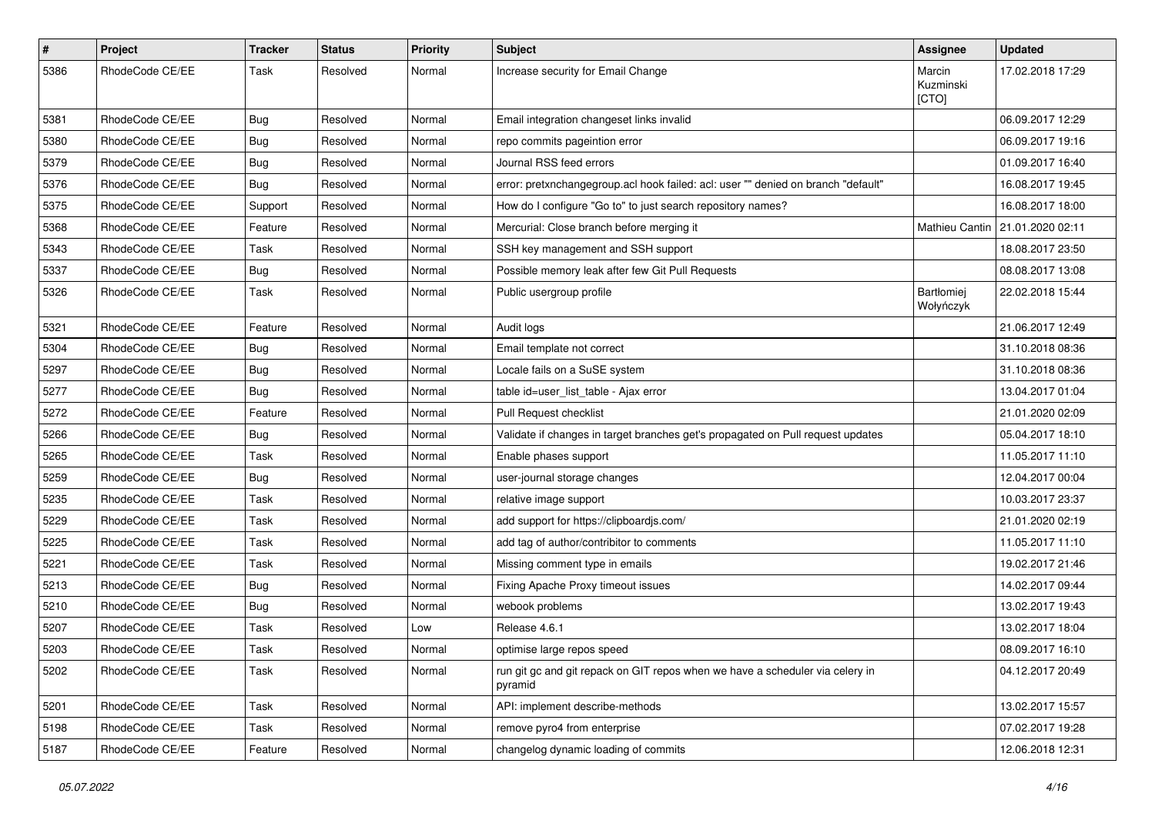| $\pmb{\#}$ | Project         | <b>Tracker</b> | <b>Status</b> | <b>Priority</b> | <b>Subject</b>                                                                           | Assignee                     | <b>Updated</b>                    |
|------------|-----------------|----------------|---------------|-----------------|------------------------------------------------------------------------------------------|------------------------------|-----------------------------------|
| 5386       | RhodeCode CE/EE | Task           | Resolved      | Normal          | Increase security for Email Change                                                       | Marcin<br>Kuzminski<br>[CTO] | 17.02.2018 17:29                  |
| 5381       | RhodeCode CE/EE | Bug            | Resolved      | Normal          | Email integration changeset links invalid                                                |                              | 06.09.2017 12:29                  |
| 5380       | RhodeCode CE/EE | <b>Bug</b>     | Resolved      | Normal          | repo commits pageintion error                                                            |                              | 06.09.2017 19:16                  |
| 5379       | RhodeCode CE/EE | Bug            | Resolved      | Normal          | Journal RSS feed errors                                                                  |                              | 01.09.2017 16:40                  |
| 5376       | RhodeCode CE/EE | Bug            | Resolved      | Normal          | error: pretxnchangegroup.acl hook failed: acl: user "" denied on branch "default"        |                              | 16.08.2017 19:45                  |
| 5375       | RhodeCode CE/EE | Support        | Resolved      | Normal          | How do I configure "Go to" to just search repository names?                              |                              | 16.08.2017 18:00                  |
| 5368       | RhodeCode CE/EE | Feature        | Resolved      | Normal          | Mercurial: Close branch before merging it                                                |                              | Mathieu Cantin   21.01.2020 02:11 |
| 5343       | RhodeCode CE/EE | Task           | Resolved      | Normal          | SSH key management and SSH support                                                       |                              | 18.08.2017 23:50                  |
| 5337       | RhodeCode CE/EE | Bug            | Resolved      | Normal          | Possible memory leak after few Git Pull Requests                                         |                              | 08.08.2017 13:08                  |
| 5326       | RhodeCode CE/EE | Task           | Resolved      | Normal          | Public usergroup profile                                                                 | Bartłomiej<br>Wołyńczyk      | 22.02.2018 15:44                  |
| 5321       | RhodeCode CE/EE | Feature        | Resolved      | Normal          | Audit logs                                                                               |                              | 21.06.2017 12:49                  |
| 5304       | RhodeCode CE/EE | Bug            | Resolved      | Normal          | Email template not correct                                                               |                              | 31.10.2018 08:36                  |
| 5297       | RhodeCode CE/EE | <b>Bug</b>     | Resolved      | Normal          | Locale fails on a SuSE system                                                            |                              | 31.10.2018 08:36                  |
| 5277       | RhodeCode CE/EE | Bug            | Resolved      | Normal          | table id=user_list_table - Ajax error                                                    |                              | 13.04.2017 01:04                  |
| 5272       | RhodeCode CE/EE | Feature        | Resolved      | Normal          | Pull Request checklist                                                                   |                              | 21.01.2020 02:09                  |
| 5266       | RhodeCode CE/EE | Bug            | Resolved      | Normal          | Validate if changes in target branches get's propagated on Pull request updates          |                              | 05.04.2017 18:10                  |
| 5265       | RhodeCode CE/EE | Task           | Resolved      | Normal          | Enable phases support                                                                    |                              | 11.05.2017 11:10                  |
| 5259       | RhodeCode CE/EE | Bug            | Resolved      | Normal          | user-journal storage changes                                                             |                              | 12.04.2017 00:04                  |
| 5235       | RhodeCode CE/EE | Task           | Resolved      | Normal          | relative image support                                                                   |                              | 10.03.2017 23:37                  |
| 5229       | RhodeCode CE/EE | Task           | Resolved      | Normal          | add support for https://clipboardjs.com/                                                 |                              | 21.01.2020 02:19                  |
| 5225       | RhodeCode CE/EE | Task           | Resolved      | Normal          | add tag of author/contribitor to comments                                                |                              | 11.05.2017 11:10                  |
| 5221       | RhodeCode CE/EE | Task           | Resolved      | Normal          | Missing comment type in emails                                                           |                              | 19.02.2017 21:46                  |
| 5213       | RhodeCode CE/EE | Bug            | Resolved      | Normal          | Fixing Apache Proxy timeout issues                                                       |                              | 14.02.2017 09:44                  |
| 5210       | RhodeCode CE/EE | Bug            | Resolved      | Normal          | webook problems                                                                          |                              | 13.02.2017 19:43                  |
| 5207       | RhodeCode CE/EE | Task           | Resolved      | Low             | Release 4.6.1                                                                            |                              | 13.02.2017 18:04                  |
| 5203       | RhodeCode CE/EE | Task           | Resolved      | Normal          | optimise large repos speed                                                               |                              | 08.09.2017 16:10                  |
| 5202       | RhodeCode CE/EE | Task           | Resolved      | Normal          | run git gc and git repack on GIT repos when we have a scheduler via celery in<br>pyramid |                              | 04.12.2017 20:49                  |
| 5201       | RhodeCode CE/EE | Task           | Resolved      | Normal          | API: implement describe-methods                                                          |                              | 13.02.2017 15:57                  |
| 5198       | RhodeCode CE/EE | Task           | Resolved      | Normal          | remove pyro4 from enterprise                                                             |                              | 07.02.2017 19:28                  |
| 5187       | RhodeCode CE/EE | Feature        | Resolved      | Normal          | changelog dynamic loading of commits                                                     |                              | 12.06.2018 12:31                  |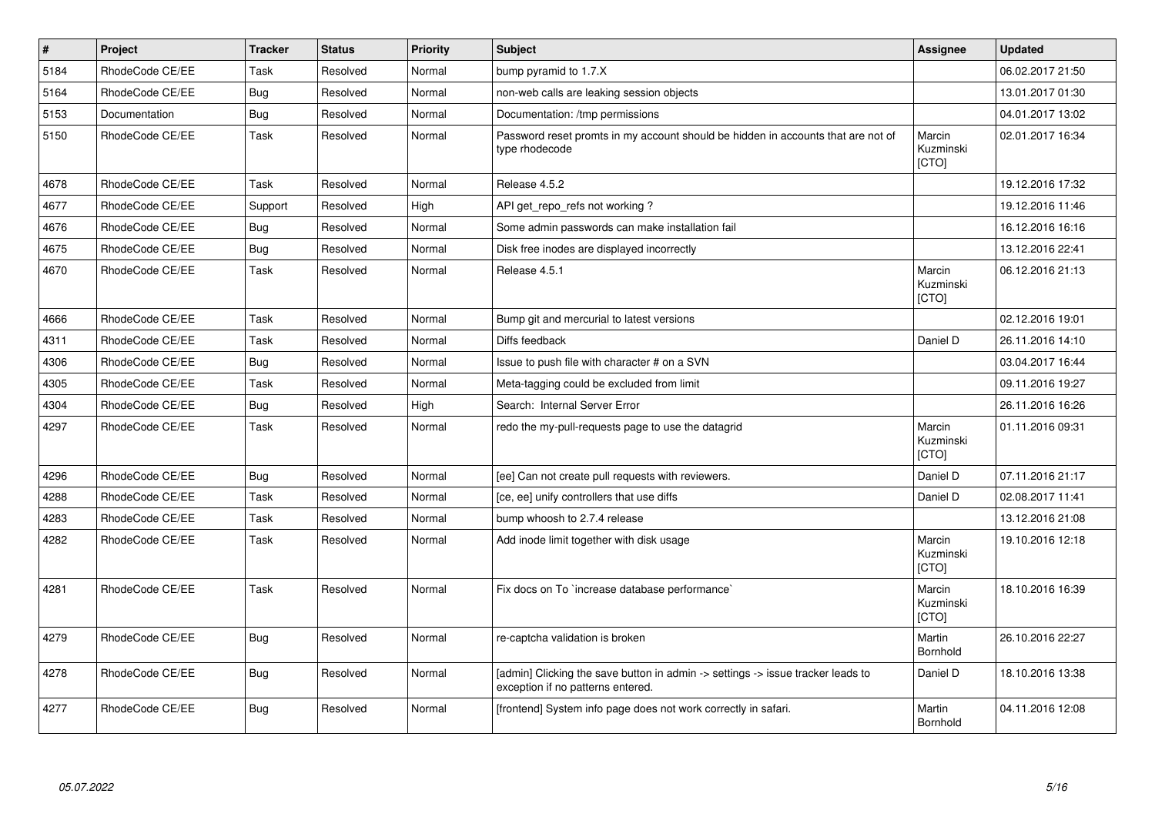| $\vert$ # | Project         | <b>Tracker</b> | <b>Status</b> | <b>Priority</b> | <b>Subject</b>                                                                                                       | Assignee                     | <b>Updated</b>   |
|-----------|-----------------|----------------|---------------|-----------------|----------------------------------------------------------------------------------------------------------------------|------------------------------|------------------|
| 5184      | RhodeCode CE/EE | Task           | Resolved      | Normal          | bump pyramid to 1.7.X                                                                                                |                              | 06.02.2017 21:50 |
| 5164      | RhodeCode CE/EE | <b>Bug</b>     | Resolved      | Normal          | non-web calls are leaking session objects                                                                            |                              | 13.01.2017 01:30 |
| 5153      | Documentation   | Bug            | Resolved      | Normal          | Documentation: /tmp permissions                                                                                      |                              | 04.01.2017 13:02 |
| 5150      | RhodeCode CE/EE | Task           | Resolved      | Normal          | Password reset promts in my account should be hidden in accounts that are not of<br>type rhodecode                   | Marcin<br>Kuzminski<br>[CTO] | 02.01.2017 16:34 |
| 4678      | RhodeCode CE/EE | Task           | Resolved      | Normal          | Release 4.5.2                                                                                                        |                              | 19.12.2016 17:32 |
| 4677      | RhodeCode CE/EE | Support        | Resolved      | High            | API get_repo_refs not working?                                                                                       |                              | 19.12.2016 11:46 |
| 4676      | RhodeCode CE/EE | <b>Bug</b>     | Resolved      | Normal          | Some admin passwords can make installation fail                                                                      |                              | 16.12.2016 16:16 |
| 4675      | RhodeCode CE/EE | Bug            | Resolved      | Normal          | Disk free inodes are displayed incorrectly                                                                           |                              | 13.12.2016 22:41 |
| 4670      | RhodeCode CE/EE | Task           | Resolved      | Normal          | Release 4.5.1                                                                                                        | Marcin<br>Kuzminski<br>[CTO] | 06.12.2016 21:13 |
| 4666      | RhodeCode CE/EE | Task           | Resolved      | Normal          | Bump git and mercurial to latest versions                                                                            |                              | 02.12.2016 19:01 |
| 4311      | RhodeCode CE/EE | Task           | Resolved      | Normal          | Diffs feedback                                                                                                       | Daniel D                     | 26.11.2016 14:10 |
| 4306      | RhodeCode CE/EE | <b>Bug</b>     | Resolved      | Normal          | Issue to push file with character # on a SVN                                                                         |                              | 03.04.2017 16:44 |
| 4305      | RhodeCode CE/EE | Task           | Resolved      | Normal          | Meta-tagging could be excluded from limit                                                                            |                              | 09.11.2016 19:27 |
| 4304      | RhodeCode CE/EE | <b>Bug</b>     | Resolved      | High            | Search: Internal Server Error                                                                                        |                              | 26.11.2016 16:26 |
| 4297      | RhodeCode CE/EE | Task           | Resolved      | Normal          | redo the my-pull-requests page to use the datagrid                                                                   | Marcin<br>Kuzminski<br>[CTO] | 01.11.2016 09:31 |
| 4296      | RhodeCode CE/EE | <b>Bug</b>     | Resolved      | Normal          | [ee] Can not create pull requests with reviewers.                                                                    | Daniel D                     | 07.11.2016 21:17 |
| 4288      | RhodeCode CE/EE | Task           | Resolved      | Normal          | [ce, ee] unify controllers that use diffs                                                                            | Daniel D                     | 02.08.2017 11:41 |
| 4283      | RhodeCode CE/EE | <b>Task</b>    | Resolved      | Normal          | bump whoosh to 2.7.4 release                                                                                         |                              | 13.12.2016 21:08 |
| 4282      | RhodeCode CE/EE | Task           | Resolved      | Normal          | Add inode limit together with disk usage                                                                             | Marcin<br>Kuzminski<br>[CTO] | 19.10.2016 12:18 |
| 4281      | RhodeCode CE/EE | Task           | Resolved      | Normal          | Fix docs on To `increase database performance`                                                                       | Marcin<br>Kuzminski<br>[CTO] | 18.10.2016 16:39 |
| 4279      | RhodeCode CE/EE | Bug            | Resolved      | Normal          | re-captcha validation is broken                                                                                      | Martin<br>Bornhold           | 26.10.2016 22:27 |
| 4278      | RhodeCode CE/EE | Bug            | Resolved      | Normal          | [admin] Clicking the save button in admin -> settings -> issue tracker leads to<br>exception if no patterns entered. | Daniel D                     | 18.10.2016 13:38 |
| 4277      | RhodeCode CE/EE | <b>Bug</b>     | Resolved      | Normal          | [frontend] System info page does not work correctly in safari.                                                       | Martin<br>Bornhold           | 04.11.2016 12:08 |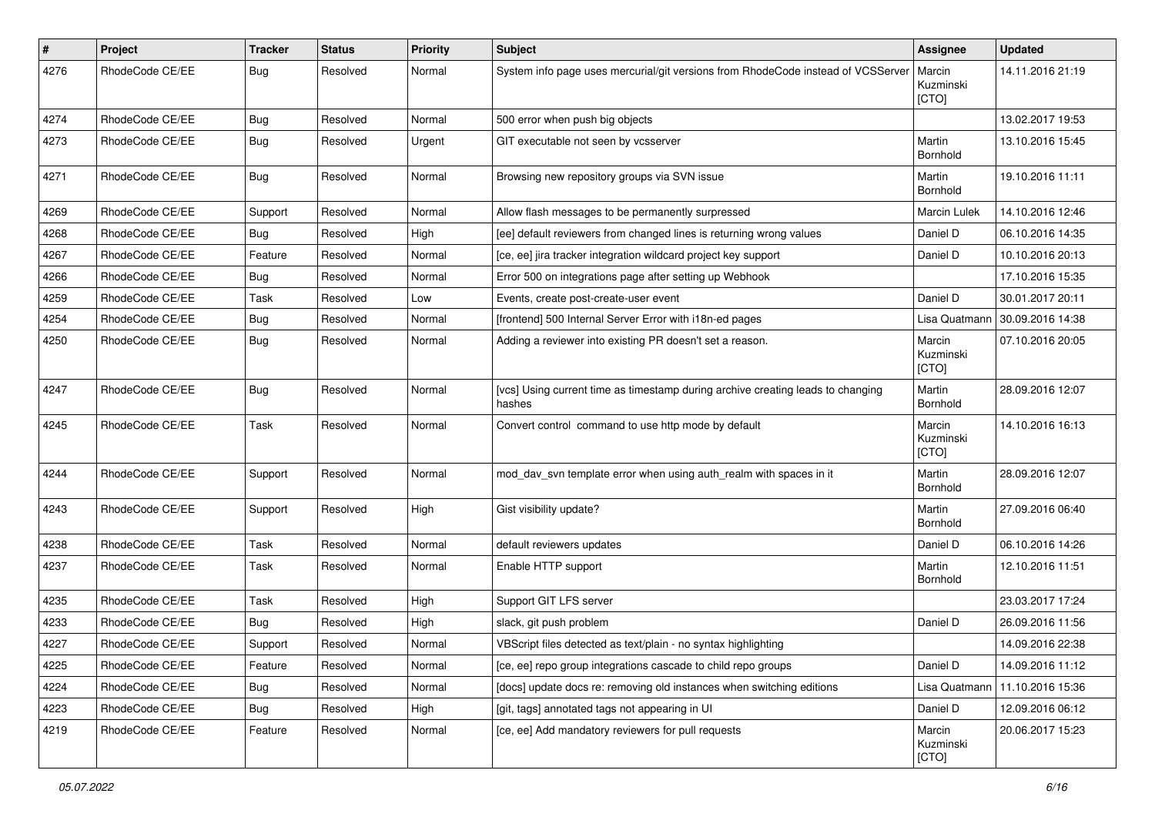| $\pmb{\#}$ | Project         | <b>Tracker</b> | <b>Status</b> | <b>Priority</b> | <b>Subject</b>                                                                            | <b>Assignee</b>              | <b>Updated</b>   |
|------------|-----------------|----------------|---------------|-----------------|-------------------------------------------------------------------------------------------|------------------------------|------------------|
| 4276       | RhodeCode CE/EE | <b>Bug</b>     | Resolved      | Normal          | System info page uses mercurial/git versions from RhodeCode instead of VCSServer          | Marcin<br>Kuzminski<br>[CTO] | 14.11.2016 21:19 |
| 4274       | RhodeCode CE/EE | Bug            | Resolved      | Normal          | 500 error when push big objects                                                           |                              | 13.02.2017 19:53 |
| 4273       | RhodeCode CE/EE | <b>Bug</b>     | Resolved      | Urgent          | GIT executable not seen by vcsserver                                                      | Martin<br>Bornhold           | 13.10.2016 15:45 |
| 4271       | RhodeCode CE/EE | Bug            | Resolved      | Normal          | Browsing new repository groups via SVN issue                                              | Martin<br>Bornhold           | 19.10.2016 11:11 |
| 4269       | RhodeCode CE/EE | Support        | Resolved      | Normal          | Allow flash messages to be permanently surpressed                                         | Marcin Lulek                 | 14.10.2016 12:46 |
| 4268       | RhodeCode CE/EE | Bug            | Resolved      | High            | [ee] default reviewers from changed lines is returning wrong values                       | Daniel D                     | 06.10.2016 14:35 |
| 4267       | RhodeCode CE/EE | Feature        | Resolved      | Normal          | [ce, ee] jira tracker integration wildcard project key support                            | Daniel D                     | 10.10.2016 20:13 |
| 4266       | RhodeCode CE/EE | Bug            | Resolved      | Normal          | Error 500 on integrations page after setting up Webhook                                   |                              | 17.10.2016 15:35 |
| 4259       | RhodeCode CE/EE | <b>Task</b>    | Resolved      | Low             | Events, create post-create-user event                                                     | Daniel D                     | 30.01.2017 20:11 |
| 4254       | RhodeCode CE/EE | <b>Bug</b>     | Resolved      | Normal          | [frontend] 500 Internal Server Error with i18n-ed pages                                   | Lisa Quatmann                | 30.09.2016 14:38 |
| 4250       | RhodeCode CE/EE | Bug            | Resolved      | Normal          | Adding a reviewer into existing PR doesn't set a reason.                                  | Marcin<br>Kuzminski<br>[CTO] | 07.10.2016 20:05 |
| 4247       | RhodeCode CE/EE | <b>Bug</b>     | Resolved      | Normal          | [vcs] Using current time as timestamp during archive creating leads to changing<br>hashes | Martin<br>Bornhold           | 28.09.2016 12:07 |
| 4245       | RhodeCode CE/EE | Task           | Resolved      | Normal          | Convert control command to use http mode by default                                       | Marcin<br>Kuzminski<br>[CTO] | 14.10.2016 16:13 |
| 4244       | RhodeCode CE/EE | Support        | Resolved      | Normal          | mod_dav_svn template error when using auth_realm with spaces in it                        | Martin<br>Bornhold           | 28.09.2016 12:07 |
| 4243       | RhodeCode CE/EE | Support        | Resolved      | High            | Gist visibility update?                                                                   | Martin<br>Bornhold           | 27.09.2016 06:40 |
| 4238       | RhodeCode CE/EE | Task           | Resolved      | Normal          | default reviewers updates                                                                 | Daniel D                     | 06.10.2016 14:26 |
| 4237       | RhodeCode CE/EE | Task           | Resolved      | Normal          | Enable HTTP support                                                                       | Martin<br>Bornhold           | 12.10.2016 11:51 |
| 4235       | RhodeCode CE/EE | Task           | Resolved      | High            | Support GIT LFS server                                                                    |                              | 23.03.2017 17:24 |
| 4233       | RhodeCode CE/EE | Bug            | Resolved      | High            | slack, git push problem                                                                   | Daniel D                     | 26.09.2016 11:56 |
| 4227       | RhodeCode CE/EE | Support        | Resolved      | Normal          | VBScript files detected as text/plain - no syntax highlighting                            |                              | 14.09.2016 22:38 |
| 4225       | RhodeCode CE/EE | Feature        | Resolved      | Normal          | [ce, ee] repo group integrations cascade to child repo groups                             | Daniel D                     | 14.09.2016 11:12 |
| 4224       | RhodeCode CE/EE | Bug            | Resolved      | Normal          | [docs] update docs re: removing old instances when switching editions                     | Lisa Quatmann                | 11.10.2016 15:36 |
| 4223       | RhodeCode CE/EE | <b>Bug</b>     | Resolved      | High            | [git, tags] annotated tags not appearing in UI                                            | Daniel D                     | 12.09.2016 06:12 |
| 4219       | RhodeCode CE/EE | Feature        | Resolved      | Normal          | [ce, ee] Add mandatory reviewers for pull requests                                        | Marcin<br>Kuzminski<br>[CTO] | 20.06.2017 15:23 |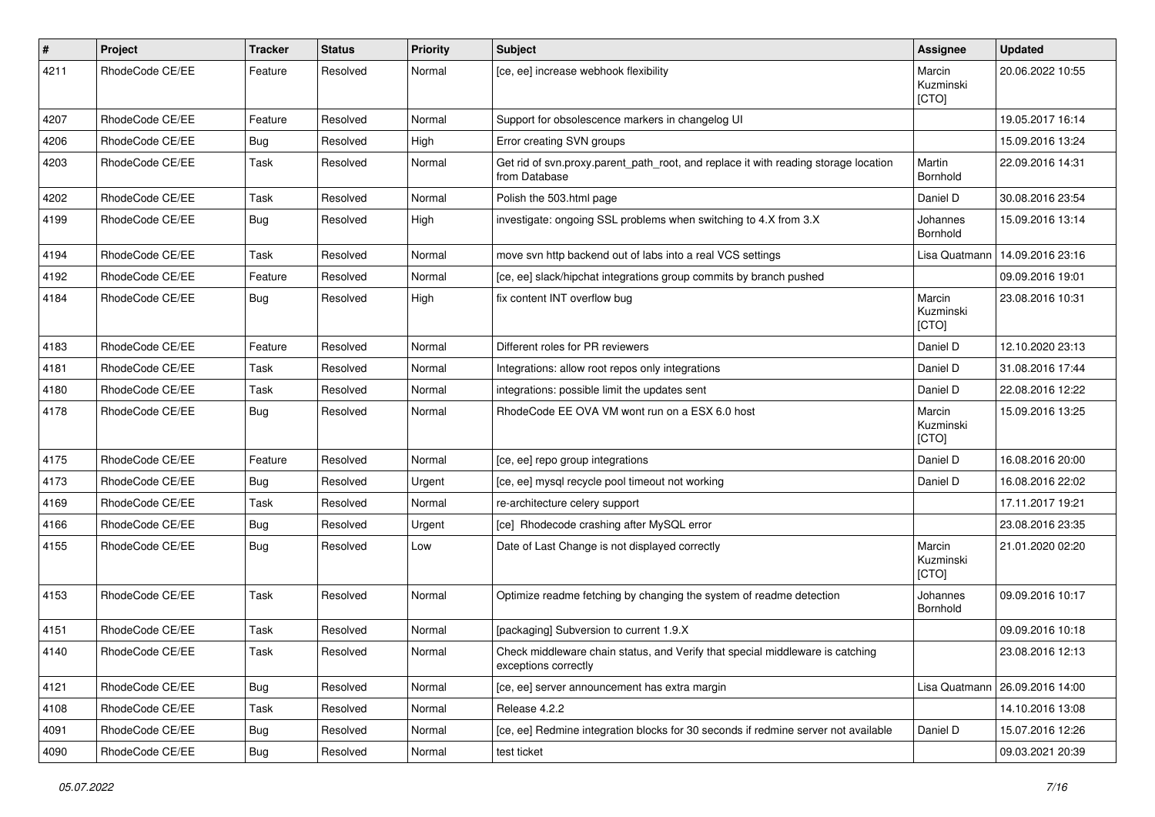| $\pmb{\#}$ | Project         | <b>Tracker</b> | <b>Status</b> | <b>Priority</b> | <b>Subject</b>                                                                                        | <b>Assignee</b>              | <b>Updated</b>                   |
|------------|-----------------|----------------|---------------|-----------------|-------------------------------------------------------------------------------------------------------|------------------------------|----------------------------------|
| 4211       | RhodeCode CE/EE | Feature        | Resolved      | Normal          | [ce, ee] increase webhook flexibility                                                                 | Marcin<br>Kuzminski<br>[CTO] | 20.06.2022 10:55                 |
| 4207       | RhodeCode CE/EE | Feature        | Resolved      | Normal          | Support for obsolescence markers in changelog UI                                                      |                              | 19.05.2017 16:14                 |
| 4206       | RhodeCode CE/EE | Bug            | Resolved      | High            | Error creating SVN groups                                                                             |                              | 15.09.2016 13:24                 |
| 4203       | RhodeCode CE/EE | Task           | Resolved      | Normal          | Get rid of svn.proxy.parent_path_root, and replace it with reading storage location<br>from Database  | Martin<br>Bornhold           | 22.09.2016 14:31                 |
| 4202       | RhodeCode CE/EE | Task           | Resolved      | Normal          | Polish the 503.html page                                                                              | Daniel D                     | 30.08.2016 23:54                 |
| 4199       | RhodeCode CE/EE | <b>Bug</b>     | Resolved      | High            | investigate: ongoing SSL problems when switching to 4.X from 3.X                                      | Johannes<br>Bornhold         | 15.09.2016 13:14                 |
| 4194       | RhodeCode CE/EE | Task           | Resolved      | Normal          | move svn http backend out of labs into a real VCS settings                                            | Lisa Quatmann                | 14.09.2016 23:16                 |
| 4192       | RhodeCode CE/EE | Feature        | Resolved      | Normal          | [ce, ee] slack/hipchat integrations group commits by branch pushed                                    |                              | 09.09.2016 19:01                 |
| 4184       | RhodeCode CE/EE | Bug            | Resolved      | High            | fix content INT overflow bug                                                                          | Marcin<br>Kuzminski<br>[CTO] | 23.08.2016 10:31                 |
| 4183       | RhodeCode CE/EE | Feature        | Resolved      | Normal          | Different roles for PR reviewers                                                                      | Daniel D                     | 12.10.2020 23:13                 |
| 4181       | RhodeCode CE/EE | Task           | Resolved      | Normal          | Integrations: allow root repos only integrations                                                      | Daniel D                     | 31.08.2016 17:44                 |
| 4180       | RhodeCode CE/EE | Task           | Resolved      | Normal          | integrations: possible limit the updates sent                                                         | Daniel D                     | 22.08.2016 12:22                 |
| 4178       | RhodeCode CE/EE | Bug            | Resolved      | Normal          | RhodeCode EE OVA VM wont run on a ESX 6.0 host                                                        | Marcin<br>Kuzminski<br>[CTO] | 15.09.2016 13:25                 |
| 4175       | RhodeCode CE/EE | Feature        | Resolved      | Normal          | [ce, ee] repo group integrations                                                                      | Daniel D                     | 16.08.2016 20:00                 |
| 4173       | RhodeCode CE/EE | Bug            | Resolved      | Urgent          | [ce, ee] mysql recycle pool timeout not working                                                       | Daniel D                     | 16.08.2016 22:02                 |
| 4169       | RhodeCode CE/EE | Task           | Resolved      | Normal          | re-architecture celery support                                                                        |                              | 17.11.2017 19:21                 |
| 4166       | RhodeCode CE/EE | Bug            | Resolved      | Urgent          | [ce] Rhodecode crashing after MySQL error                                                             |                              | 23.08.2016 23:35                 |
| 4155       | RhodeCode CE/EE | Bug            | Resolved      | Low             | Date of Last Change is not displayed correctly                                                        | Marcin<br>Kuzminski<br>[CTO] | 21.01.2020 02:20                 |
| 4153       | RhodeCode CE/EE | Task           | Resolved      | Normal          | Optimize readme fetching by changing the system of readme detection                                   | Johannes<br>Bornhold         | 09.09.2016 10:17                 |
| 4151       | RhodeCode CE/EE | Task           | Resolved      | Normal          | [packaging] Subversion to current 1.9.X                                                               |                              | 09.09.2016 10:18                 |
| 4140       | RhodeCode CE/EE | Task           | Resolved      | Normal          | Check middleware chain status, and Verify that special middleware is catching<br>exceptions correctly |                              | 23.08.2016 12:13                 |
| 4121       | RhodeCode CE/EE | Bug            | Resolved      | Normal          | [ce, ee] server announcement has extra margin                                                         |                              | Lisa Quatmann   26.09.2016 14:00 |
| 4108       | RhodeCode CE/EE | Task           | Resolved      | Normal          | Release 4.2.2                                                                                         |                              | 14.10.2016 13:08                 |
| 4091       | RhodeCode CE/EE | Bug            | Resolved      | Normal          | [ce, ee] Redmine integration blocks for 30 seconds if redmine server not available                    | Daniel D                     | 15.07.2016 12:26                 |
| 4090       | RhodeCode CE/EE | Bug            | Resolved      | Normal          | test ticket                                                                                           |                              | 09.03.2021 20:39                 |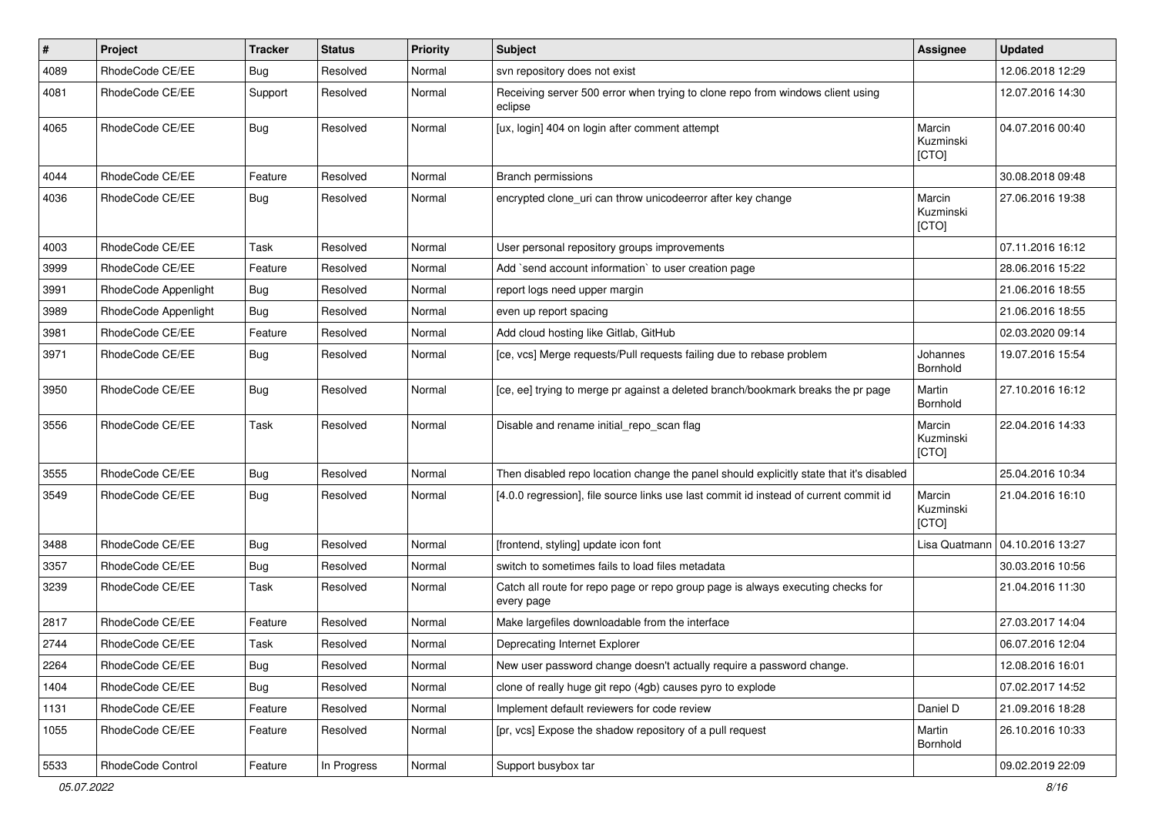| #    | Project              | <b>Tracker</b> | <b>Status</b> | <b>Priority</b> | <b>Subject</b>                                                                                | Assignee                     | <b>Updated</b>   |
|------|----------------------|----------------|---------------|-----------------|-----------------------------------------------------------------------------------------------|------------------------------|------------------|
| 4089 | RhodeCode CE/EE      | Bug            | Resolved      | Normal          | svn repository does not exist                                                                 |                              | 12.06.2018 12:29 |
| 4081 | RhodeCode CE/EE      | Support        | Resolved      | Normal          | Receiving server 500 error when trying to clone repo from windows client using<br>eclipse     |                              | 12.07.2016 14:30 |
| 4065 | RhodeCode CE/EE      | Bug            | Resolved      | Normal          | [ux, login] 404 on login after comment attempt                                                | Marcin<br>Kuzminski<br>[CTO] | 04.07.2016 00:40 |
| 4044 | RhodeCode CE/EE      | Feature        | Resolved      | Normal          | <b>Branch permissions</b>                                                                     |                              | 30.08.2018 09:48 |
| 4036 | RhodeCode CE/EE      | Bug            | Resolved      | Normal          | encrypted clone_uri can throw unicodeerror after key change                                   | Marcin<br>Kuzminski<br>[CTO] | 27.06.2016 19:38 |
| 4003 | RhodeCode CE/EE      | Task           | Resolved      | Normal          | User personal repository groups improvements                                                  |                              | 07.11.2016 16:12 |
| 3999 | RhodeCode CE/EE      | Feature        | Resolved      | Normal          | Add `send account information` to user creation page                                          |                              | 28.06.2016 15:22 |
| 3991 | RhodeCode Appenlight | Bug            | Resolved      | Normal          | report logs need upper margin                                                                 |                              | 21.06.2016 18:55 |
| 3989 | RhodeCode Appenlight | Bug            | Resolved      | Normal          | even up report spacing                                                                        |                              | 21.06.2016 18:55 |
| 3981 | RhodeCode CE/EE      | Feature        | Resolved      | Normal          | Add cloud hosting like Gitlab, GitHub                                                         |                              | 02.03.2020 09:14 |
| 3971 | RhodeCode CE/EE      | Bug            | Resolved      | Normal          | [ce, vcs] Merge requests/Pull requests failing due to rebase problem                          | Johannes<br>Bornhold         | 19.07.2016 15:54 |
| 3950 | RhodeCode CE/EE      | Bug            | Resolved      | Normal          | [ce, ee] trying to merge pr against a deleted branch/bookmark breaks the pr page              | Martin<br>Bornhold           | 27.10.2016 16:12 |
| 3556 | RhodeCode CE/EE      | Task           | Resolved      | Normal          | Disable and rename initial repo scan flag                                                     | Marcin<br>Kuzminski<br>[CTO] | 22.04.2016 14:33 |
| 3555 | RhodeCode CE/EE      | Bug            | Resolved      | Normal          | Then disabled repo location change the panel should explicitly state that it's disabled       |                              | 25.04.2016 10:34 |
| 3549 | RhodeCode CE/EE      | Bug            | Resolved      | Normal          | [4.0.0 regression], file source links use last commit id instead of current commit id         | Marcin<br>Kuzminski<br>[CTO] | 21.04.2016 16:10 |
| 3488 | RhodeCode CE/EE      | Bug            | Resolved      | Normal          | [frontend, styling] update icon font                                                          | Lisa Quatmann                | 04.10.2016 13:27 |
| 3357 | RhodeCode CE/EE      | Bug            | Resolved      | Normal          | switch to sometimes fails to load files metadata                                              |                              | 30.03.2016 10:56 |
| 3239 | RhodeCode CE/EE      | Task           | Resolved      | Normal          | Catch all route for repo page or repo group page is always executing checks for<br>every page |                              | 21.04.2016 11:30 |
| 2817 | RhodeCode CE/EE      | Feature        | Resolved      | Normal          | Make largefiles downloadable from the interface                                               |                              | 27.03.2017 14:04 |
| 2744 | RhodeCode CE/EE      | Task           | Resolved      | Normal          | Deprecating Internet Explorer                                                                 |                              | 06.07.2016 12:04 |
| 2264 | RhodeCode CE/EE      | Bug            | Resolved      | Normal          | New user password change doesn't actually require a password change.                          |                              | 12.08.2016 16:01 |
| 1404 | RhodeCode CE/EE      | Bug            | Resolved      | Normal          | clone of really huge git repo (4gb) causes pyro to explode                                    |                              | 07.02.2017 14:52 |
| 1131 | RhodeCode CE/EE      | Feature        | Resolved      | Normal          | Implement default reviewers for code review                                                   | Daniel D                     | 21.09.2016 18:28 |
| 1055 | RhodeCode CE/EE      | Feature        | Resolved      | Normal          | [pr, vcs] Expose the shadow repository of a pull request                                      | Martin<br>Bornhold           | 26.10.2016 10:33 |
| 5533 | RhodeCode Control    | Feature        | In Progress   | Normal          | Support busybox tar                                                                           |                              | 09.02.2019 22:09 |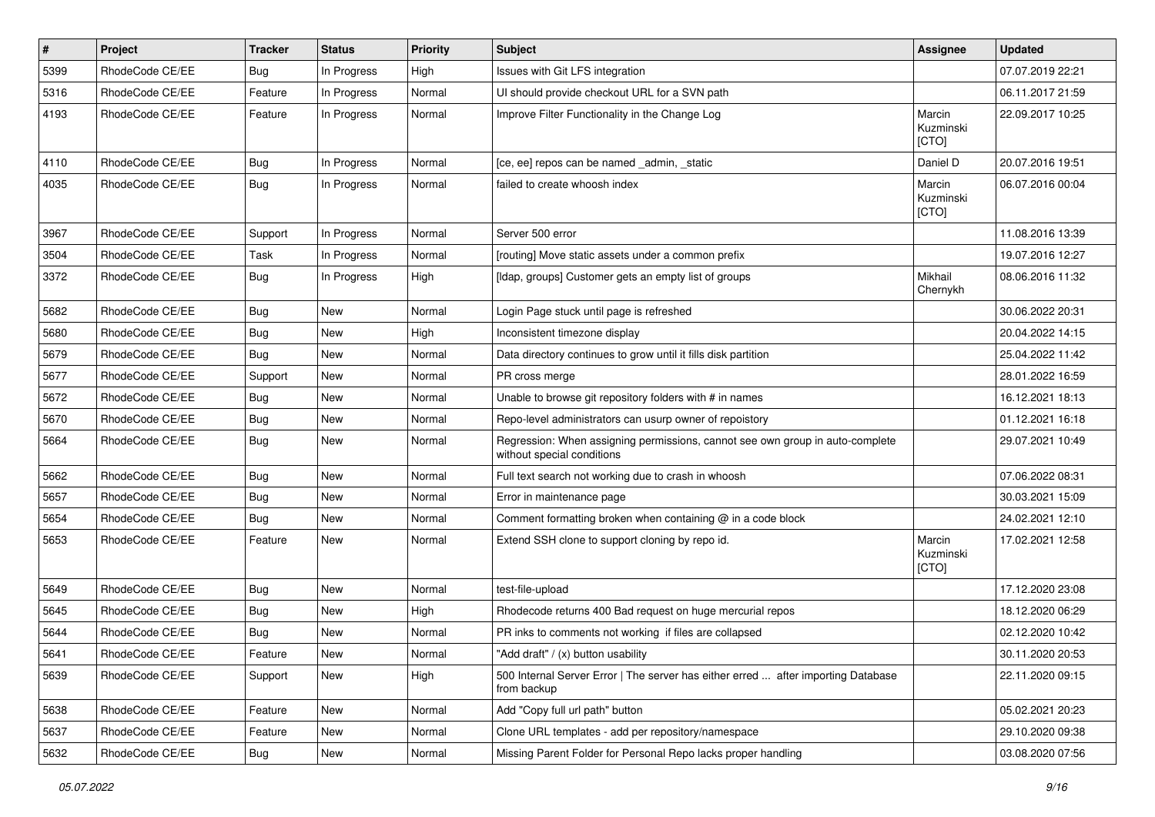| #    | Project         | <b>Tracker</b> | <b>Status</b> | Priority | <b>Subject</b>                                                                                              | <b>Assignee</b>              | <b>Updated</b>   |
|------|-----------------|----------------|---------------|----------|-------------------------------------------------------------------------------------------------------------|------------------------------|------------------|
| 5399 | RhodeCode CE/EE | Bug            | In Progress   | High     | Issues with Git LFS integration                                                                             |                              | 07.07.2019 22:21 |
| 5316 | RhodeCode CE/EE | Feature        | In Progress   | Normal   | UI should provide checkout URL for a SVN path                                                               |                              | 06.11.2017 21:59 |
| 4193 | RhodeCode CE/EE | Feature        | In Progress   | Normal   | Improve Filter Functionality in the Change Log                                                              | Marcin<br>Kuzminski<br>[CTO] | 22.09.2017 10:25 |
| 4110 | RhodeCode CE/EE | Bug            | In Progress   | Normal   | [ce, ee] repos can be named _admin, _static                                                                 | Daniel D                     | 20.07.2016 19:51 |
| 4035 | RhodeCode CE/EE | Bug            | In Progress   | Normal   | failed to create whoosh index                                                                               | Marcin<br>Kuzminski<br>[CTO] | 06.07.2016 00:04 |
| 3967 | RhodeCode CE/EE | Support        | In Progress   | Normal   | Server 500 error                                                                                            |                              | 11.08.2016 13:39 |
| 3504 | RhodeCode CE/EE | Task           | In Progress   | Normal   | [routing] Move static assets under a common prefix                                                          |                              | 19.07.2016 12:27 |
| 3372 | RhodeCode CE/EE | <b>Bug</b>     | In Progress   | High     | [Idap, groups] Customer gets an empty list of groups                                                        | Mikhail<br>Chernykh          | 08.06.2016 11:32 |
| 5682 | RhodeCode CE/EE | <b>Bug</b>     | New           | Normal   | Login Page stuck until page is refreshed                                                                    |                              | 30.06.2022 20:31 |
| 5680 | RhodeCode CE/EE | Bug            | New           | High     | Inconsistent timezone display                                                                               |                              | 20.04.2022 14:15 |
| 5679 | RhodeCode CE/EE | Bug            | <b>New</b>    | Normal   | Data directory continues to grow until it fills disk partition                                              |                              | 25.04.2022 11:42 |
| 5677 | RhodeCode CE/EE | Support        | New           | Normal   | PR cross merge                                                                                              |                              | 28.01.2022 16:59 |
| 5672 | RhodeCode CE/EE | Bug            | New           | Normal   | Unable to browse git repository folders with # in names                                                     |                              | 16.12.2021 18:13 |
| 5670 | RhodeCode CE/EE | Bug            | New           | Normal   | Repo-level administrators can usurp owner of repoistory                                                     |                              | 01.12.2021 16:18 |
| 5664 | RhodeCode CE/EE | Bug            | New           | Normal   | Regression: When assigning permissions, cannot see own group in auto-complete<br>without special conditions |                              | 29.07.2021 10:49 |
| 5662 | RhodeCode CE/EE | Bug            | New           | Normal   | Full text search not working due to crash in whoosh                                                         |                              | 07.06.2022 08:31 |
| 5657 | RhodeCode CE/EE | Bug            | New           | Normal   | Error in maintenance page                                                                                   |                              | 30.03.2021 15:09 |
| 5654 | RhodeCode CE/EE | Bug            | New           | Normal   | Comment formatting broken when containing @ in a code block                                                 |                              | 24.02.2021 12:10 |
| 5653 | RhodeCode CE/EE | Feature        | New           | Normal   | Extend SSH clone to support cloning by repo id.                                                             | Marcin<br>Kuzminski<br>[CTO] | 17.02.2021 12:58 |
| 5649 | RhodeCode CE/EE | Bug            | <b>New</b>    | Normal   | test-file-upload                                                                                            |                              | 17.12.2020 23:08 |
| 5645 | RhodeCode CE/EE | Bug            | <b>New</b>    | High     | Rhodecode returns 400 Bad request on huge mercurial repos                                                   |                              | 18.12.2020 06:29 |
| 5644 | RhodeCode CE/EE | Bug            | New           | Normal   | PR inks to comments not working if files are collapsed                                                      |                              | 02.12.2020 10:42 |
| 5641 | RhodeCode CE/EE | Feature        | New           | Normal   | "Add draft" / (x) button usability                                                                          |                              | 30.11.2020 20:53 |
| 5639 | RhodeCode CE/EE | Support        | New           | High     | 500 Internal Server Error   The server has either erred  after importing Database<br>from backup            |                              | 22.11.2020 09:15 |
| 5638 | RhodeCode CE/EE | Feature        | New           | Normal   | Add "Copy full url path" button                                                                             |                              | 05.02.2021 20:23 |
| 5637 | RhodeCode CE/EE | Feature        | New           | Normal   | Clone URL templates - add per repository/namespace                                                          |                              | 29.10.2020 09:38 |
| 5632 | RhodeCode CE/EE | <b>Bug</b>     | New           | Normal   | Missing Parent Folder for Personal Repo lacks proper handling                                               |                              | 03.08.2020 07:56 |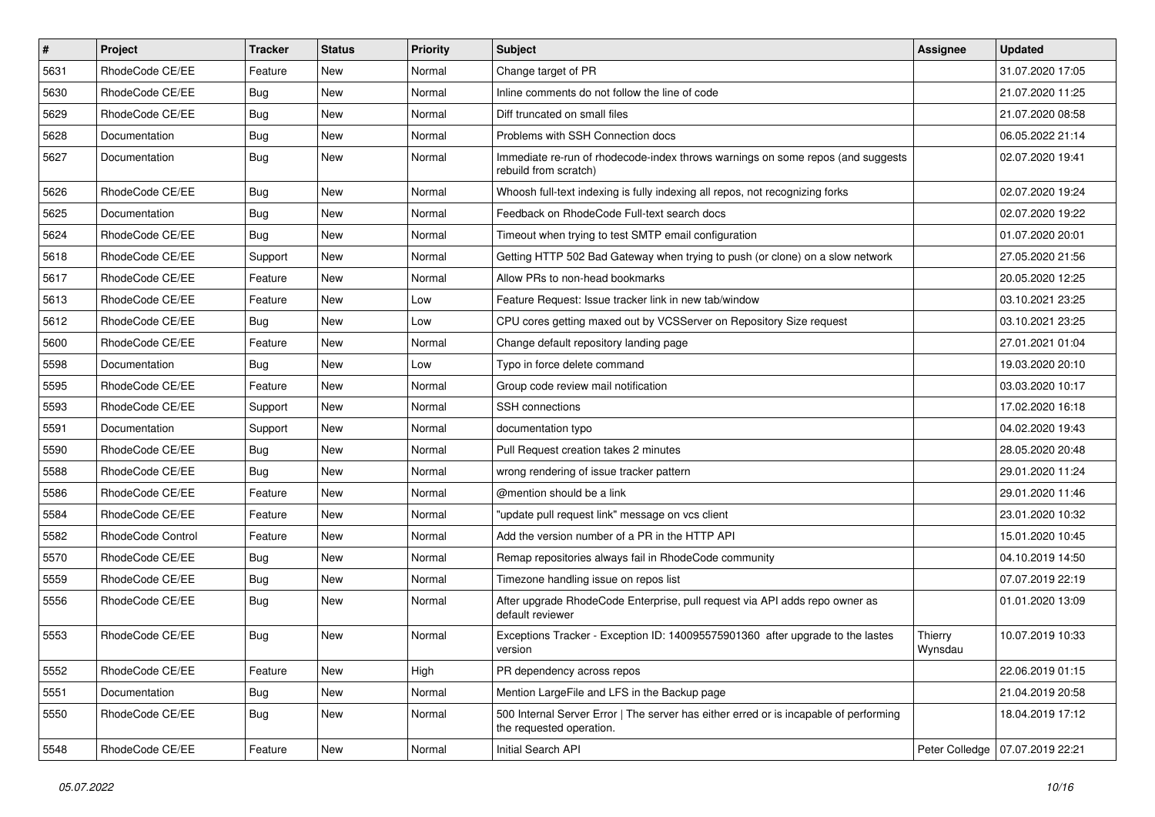| #    | Project           | <b>Tracker</b> | <b>Status</b> | <b>Priority</b> | <b>Subject</b>                                                                                                    | <b>Assignee</b>    | <b>Updated</b>   |
|------|-------------------|----------------|---------------|-----------------|-------------------------------------------------------------------------------------------------------------------|--------------------|------------------|
| 5631 | RhodeCode CE/EE   | Feature        | New           | Normal          | Change target of PR                                                                                               |                    | 31.07.2020 17:05 |
| 5630 | RhodeCode CE/EE   | <b>Bug</b>     | <b>New</b>    | Normal          | Inline comments do not follow the line of code                                                                    |                    | 21.07.2020 11:25 |
| 5629 | RhodeCode CE/EE   | Bug            | New           | Normal          | Diff truncated on small files                                                                                     |                    | 21.07.2020 08:58 |
| 5628 | Documentation     | Bug            | New           | Normal          | Problems with SSH Connection docs                                                                                 |                    | 06.05.2022 21:14 |
| 5627 | Documentation     | Bug            | <b>New</b>    | Normal          | Immediate re-run of rhodecode-index throws warnings on some repos (and suggests<br>rebuild from scratch)          |                    | 02.07.2020 19:41 |
| 5626 | RhodeCode CE/EE   | Bug            | <b>New</b>    | Normal          | Whoosh full-text indexing is fully indexing all repos, not recognizing forks                                      |                    | 02.07.2020 19:24 |
| 5625 | Documentation     | Bug            | New           | Normal          | Feedback on RhodeCode Full-text search docs                                                                       |                    | 02.07.2020 19:22 |
| 5624 | RhodeCode CE/EE   | <b>Bug</b>     | New           | Normal          | Timeout when trying to test SMTP email configuration                                                              |                    | 01.07.2020 20:01 |
| 5618 | RhodeCode CE/EE   | Support        | <b>New</b>    | Normal          | Getting HTTP 502 Bad Gateway when trying to push (or clone) on a slow network                                     |                    | 27.05.2020 21:56 |
| 5617 | RhodeCode CE/EE   | Feature        | New           | Normal          | Allow PRs to non-head bookmarks                                                                                   |                    | 20.05.2020 12:25 |
| 5613 | RhodeCode CE/EE   | Feature        | New           | Low             | Feature Request: Issue tracker link in new tab/window                                                             |                    | 03.10.2021 23:25 |
| 5612 | RhodeCode CE/EE   | Bug            | New           | Low             | CPU cores getting maxed out by VCSServer on Repository Size request                                               |                    | 03.10.2021 23:25 |
| 5600 | RhodeCode CE/EE   | Feature        | New           | Normal          | Change default repository landing page                                                                            |                    | 27.01.2021 01:04 |
| 5598 | Documentation     | Bug            | <b>New</b>    | Low             | Typo in force delete command                                                                                      |                    | 19.03.2020 20:10 |
| 5595 | RhodeCode CE/EE   | Feature        | New           | Normal          | Group code review mail notification                                                                               |                    | 03.03.2020 10:17 |
| 5593 | RhodeCode CE/EE   | Support        | <b>New</b>    | Normal          | SSH connections                                                                                                   |                    | 17.02.2020 16:18 |
| 5591 | Documentation     | Support        | <b>New</b>    | Normal          | documentation typo                                                                                                |                    | 04.02.2020 19:43 |
| 5590 | RhodeCode CE/EE   | Bug            | New           | Normal          | Pull Request creation takes 2 minutes                                                                             |                    | 28.05.2020 20:48 |
| 5588 | RhodeCode CE/EE   | Bug            | <b>New</b>    | Normal          | wrong rendering of issue tracker pattern                                                                          |                    | 29.01.2020 11:24 |
| 5586 | RhodeCode CE/EE   | Feature        | New           | Normal          | @mention should be a link                                                                                         |                    | 29.01.2020 11:46 |
| 5584 | RhodeCode CE/EE   | Feature        | <b>New</b>    | Normal          | "update pull request link" message on vcs client                                                                  |                    | 23.01.2020 10:32 |
| 5582 | RhodeCode Control | Feature        | <b>New</b>    | Normal          | Add the version number of a PR in the HTTP API                                                                    |                    | 15.01.2020 10:45 |
| 5570 | RhodeCode CE/EE   | Bug            | New           | Normal          | Remap repositories always fail in RhodeCode community                                                             |                    | 04.10.2019 14:50 |
| 5559 | RhodeCode CE/EE   | Bug            | <b>New</b>    | Normal          | Timezone handling issue on repos list                                                                             |                    | 07.07.2019 22:19 |
| 5556 | RhodeCode CE/EE   | Bug            | <b>New</b>    | Normal          | After upgrade RhodeCode Enterprise, pull request via API adds repo owner as<br>default reviewer                   |                    | 01.01.2020 13:09 |
| 5553 | RhodeCode CE/EE   | Bug            | <b>New</b>    | Normal          | Exceptions Tracker - Exception ID: 140095575901360 after upgrade to the lastes<br>version                         | Thierry<br>Wynsdau | 10.07.2019 10:33 |
| 5552 | RhodeCode CE/EE   | Feature        | New           | High            | PR dependency across repos                                                                                        |                    | 22.06.2019 01:15 |
| 5551 | Documentation     | Bug            | New           | Normal          | Mention LargeFile and LFS in the Backup page                                                                      |                    | 21.04.2019 20:58 |
| 5550 | RhodeCode CE/EE   | <b>Bug</b>     | New           | Normal          | 500 Internal Server Error   The server has either erred or is incapable of performing<br>the requested operation. |                    | 18.04.2019 17:12 |
| 5548 | RhodeCode CE/EE   | Feature        | New           | Normal          | Initial Search API                                                                                                | Peter Colledge     | 07.07.2019 22:21 |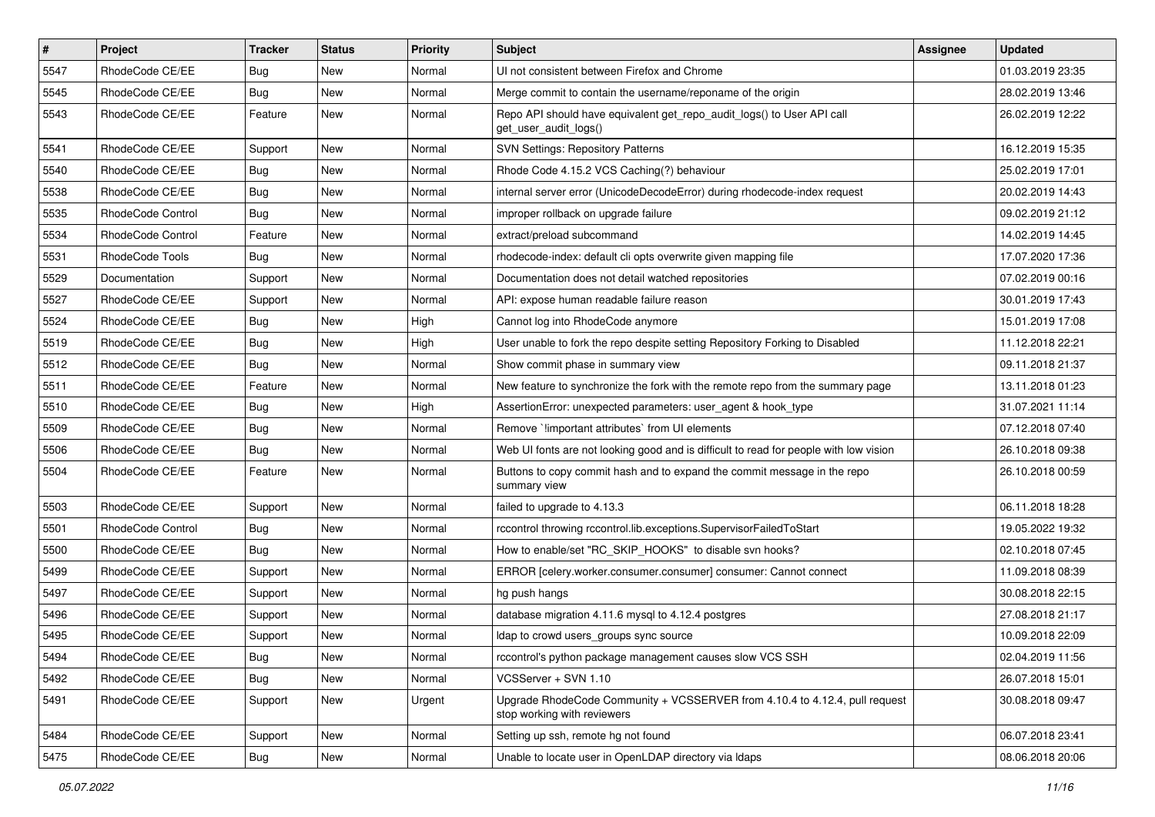| $\pmb{\#}$ | <b>Project</b>    | <b>Tracker</b> | <b>Status</b> | <b>Priority</b> | <b>Subject</b>                                                                                             | <b>Assignee</b> | <b>Updated</b>   |
|------------|-------------------|----------------|---------------|-----------------|------------------------------------------------------------------------------------------------------------|-----------------|------------------|
| 5547       | RhodeCode CE/EE   | Bug            | New           | Normal          | UI not consistent between Firefox and Chrome                                                               |                 | 01.03.2019 23:35 |
| 5545       | RhodeCode CE/EE   | Bug            | <b>New</b>    | Normal          | Merge commit to contain the username/reponame of the origin                                                |                 | 28.02.2019 13:46 |
| 5543       | RhodeCode CE/EE   | Feature        | New           | Normal          | Repo API should have equivalent get repo audit logs() to User API call<br>get_user_audit_logs()            |                 | 26.02.2019 12:22 |
| 5541       | RhodeCode CE/EE   | Support        | <b>New</b>    | Normal          | <b>SVN Settings: Repository Patterns</b>                                                                   |                 | 16.12.2019 15:35 |
| 5540       | RhodeCode CE/EE   | Bug            | New           | Normal          | Rhode Code 4.15.2 VCS Caching(?) behaviour                                                                 |                 | 25.02.2019 17:01 |
| 5538       | RhodeCode CE/EE   | Bug            | New           | Normal          | internal server error (UnicodeDecodeError) during rhodecode-index request                                  |                 | 20.02.2019 14:43 |
| 5535       | RhodeCode Control | Bug            | New           | Normal          | improper rollback on upgrade failure                                                                       |                 | 09.02.2019 21:12 |
| 5534       | RhodeCode Control | Feature        | New           | Normal          | extract/preload subcommand                                                                                 |                 | 14.02.2019 14:45 |
| 5531       | RhodeCode Tools   | Bug            | <b>New</b>    | Normal          | rhodecode-index: default cli opts overwrite given mapping file                                             |                 | 17.07.2020 17:36 |
| 5529       | Documentation     | Support        | New           | Normal          | Documentation does not detail watched repositories                                                         |                 | 07.02.2019 00:16 |
| 5527       | RhodeCode CE/EE   | Support        | New           | Normal          | API: expose human readable failure reason                                                                  |                 | 30.01.2019 17:43 |
| 5524       | RhodeCode CE/EE   | Bug            | <b>New</b>    | High            | Cannot log into RhodeCode anymore                                                                          |                 | 15.01.2019 17:08 |
| 5519       | RhodeCode CE/EE   | Bug            | New           | High            | User unable to fork the repo despite setting Repository Forking to Disabled                                |                 | 11.12.2018 22:21 |
| 5512       | RhodeCode CE/EE   | Bug            | <b>New</b>    | Normal          | Show commit phase in summary view                                                                          |                 | 09.11.2018 21:37 |
| 5511       | RhodeCode CE/EE   | Feature        | New           | Normal          | New feature to synchronize the fork with the remote repo from the summary page                             |                 | 13.11.2018 01:23 |
| 5510       | RhodeCode CE/EE   | Bug            | New           | High            | AssertionError: unexpected parameters: user agent & hook type                                              |                 | 31.07.2021 11:14 |
| 5509       | RhodeCode CE/EE   | Bug            | <b>New</b>    | Normal          | Remove `limportant attributes` from UI elements                                                            |                 | 07.12.2018 07:40 |
| 5506       | RhodeCode CE/EE   | Bug            | New           | Normal          | Web UI fonts are not looking good and is difficult to read for people with low vision                      |                 | 26.10.2018 09:38 |
| 5504       | RhodeCode CE/EE   | Feature        | New           | Normal          | Buttons to copy commit hash and to expand the commit message in the repo<br>summary view                   |                 | 26.10.2018 00:59 |
| 5503       | RhodeCode CE/EE   | Support        | <b>New</b>    | Normal          | failed to upgrade to 4.13.3                                                                                |                 | 06.11.2018 18:28 |
| 5501       | RhodeCode Control | <b>Bug</b>     | <b>New</b>    | Normal          | rccontrol throwing rccontrol.lib.exceptions.SupervisorFailedToStart                                        |                 | 19.05.2022 19:32 |
| 5500       | RhodeCode CE/EE   | Bug            | New           | Normal          | How to enable/set "RC_SKIP_HOOKS" to disable svn hooks?                                                    |                 | 02.10.2018 07:45 |
| 5499       | RhodeCode CE/EE   | Support        | New           | Normal          | ERROR [celery.worker.consumer.consumer] consumer: Cannot connect                                           |                 | 11.09.2018 08:39 |
| 5497       | RhodeCode CE/EE   | Support        | <b>New</b>    | Normal          | hg push hangs                                                                                              |                 | 30.08.2018 22:15 |
| 5496       | RhodeCode CE/EE   | Support        | New           | Normal          | database migration 4.11.6 mysql to 4.12.4 postgres                                                         |                 | 27.08.2018 21:17 |
| 5495       | RhodeCode CE/EE   | Support        | <b>New</b>    | Normal          | Idap to crowd users_groups sync source                                                                     |                 | 10.09.2018 22:09 |
| 5494       | RhodeCode CE/EE   | <b>Bug</b>     | New           | Normal          | rccontrol's python package management causes slow VCS SSH                                                  |                 | 02.04.2019 11:56 |
| 5492       | RhodeCode CE/EE   | Bug            | <b>New</b>    | Normal          | VCSServer + SVN 1.10                                                                                       |                 | 26.07.2018 15:01 |
| 5491       | RhodeCode CE/EE   | Support        | New           | Urgent          | Upgrade RhodeCode Community + VCSSERVER from 4.10.4 to 4.12.4, pull request<br>stop working with reviewers |                 | 30.08.2018 09:47 |
| 5484       | RhodeCode CE/EE   | Support        | New           | Normal          | Setting up ssh, remote hg not found                                                                        |                 | 06.07.2018 23:41 |
| 5475       | RhodeCode CE/EE   | Bug            | New           | Normal          | Unable to locate user in OpenLDAP directory via Idaps                                                      |                 | 08.06.2018 20:06 |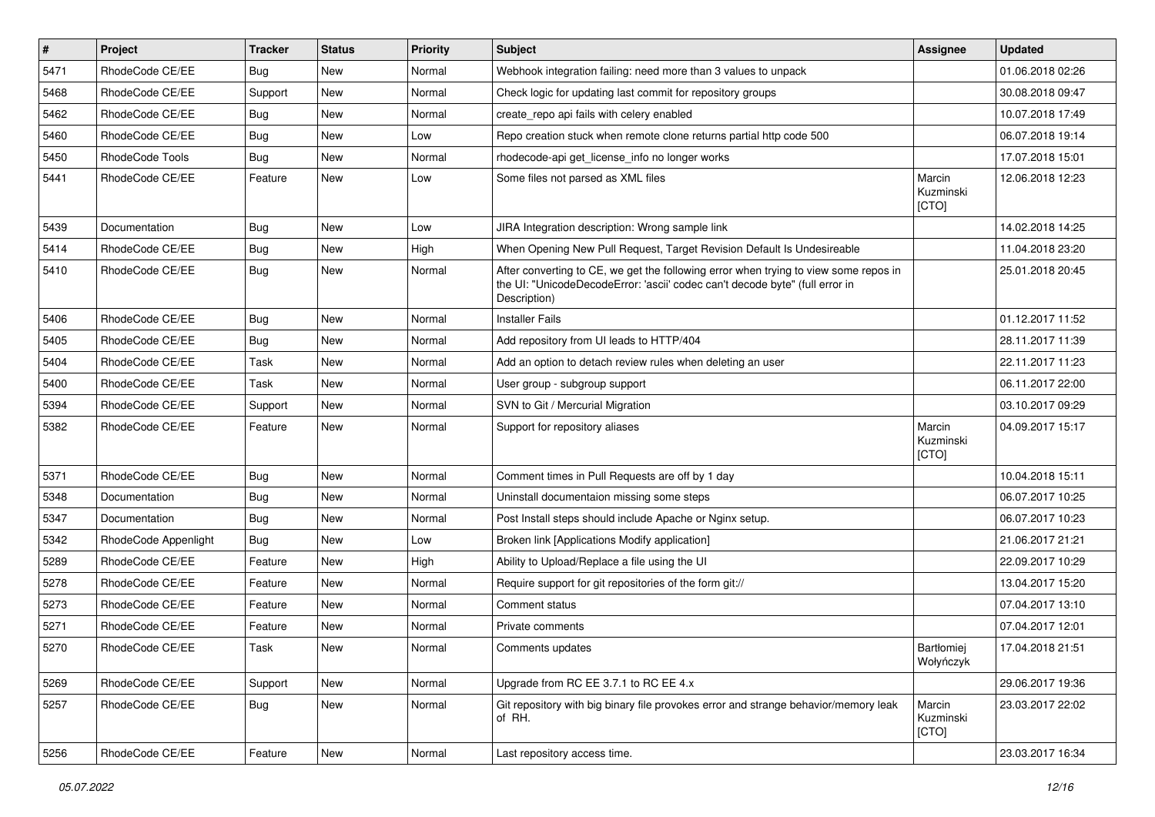| $\sharp$ | Project              | <b>Tracker</b> | <b>Status</b> | <b>Priority</b> | <b>Subject</b>                                                                                                                                                                       | <b>Assignee</b>                | <b>Updated</b>   |
|----------|----------------------|----------------|---------------|-----------------|--------------------------------------------------------------------------------------------------------------------------------------------------------------------------------------|--------------------------------|------------------|
| 5471     | RhodeCode CE/EE      | Bug            | New           | Normal          | Webhook integration failing: need more than 3 values to unpack                                                                                                                       |                                | 01.06.2018 02:26 |
| 5468     | RhodeCode CE/EE      | Support        | <b>New</b>    | Normal          | Check logic for updating last commit for repository groups                                                                                                                           |                                | 30.08.2018 09:47 |
| 5462     | RhodeCode CE/EE      | Bug            | New           | Normal          | create repo api fails with celery enabled                                                                                                                                            |                                | 10.07.2018 17:49 |
| 5460     | RhodeCode CE/EE      | Bug            | New           | Low             | Repo creation stuck when remote clone returns partial http code 500                                                                                                                  |                                | 06.07.2018 19:14 |
| 5450     | RhodeCode Tools      | Bug            | <b>New</b>    | Normal          | rhodecode-api get license info no longer works                                                                                                                                       |                                | 17.07.2018 15:01 |
| 5441     | RhodeCode CE/EE      | Feature        | New           | Low             | Some files not parsed as XML files                                                                                                                                                   | Marcin<br>Kuzminski<br>[CTO]   | 12.06.2018 12:23 |
| 5439     | Documentation        | Bug            | New           | Low             | JIRA Integration description: Wrong sample link                                                                                                                                      |                                | 14.02.2018 14:25 |
| 5414     | RhodeCode CE/EE      | Bug            | <b>New</b>    | High            | When Opening New Pull Request, Target Revision Default Is Undesireable                                                                                                               |                                | 11.04.2018 23:20 |
| 5410     | RhodeCode CE/EE      | Bug            | New           | Normal          | After converting to CE, we get the following error when trying to view some repos in<br>the UI: "UnicodeDecodeError: 'ascii' codec can't decode byte" (full error in<br>Description) |                                | 25.01.2018 20:45 |
| 5406     | RhodeCode CE/EE      | Bug            | New           | Normal          | <b>Installer Fails</b>                                                                                                                                                               |                                | 01.12.2017 11:52 |
| 5405     | RhodeCode CE/EE      | Bug            | New           | Normal          | Add repository from UI leads to HTTP/404                                                                                                                                             |                                | 28.11.2017 11:39 |
| 5404     | RhodeCode CE/EE      | Task           | <b>New</b>    | Normal          | Add an option to detach review rules when deleting an user                                                                                                                           |                                | 22.11.2017 11:23 |
| 5400     | RhodeCode CE/EE      | Task           | New           | Normal          | User group - subgroup support                                                                                                                                                        |                                | 06.11.2017 22:00 |
| 5394     | RhodeCode CE/EE      | Support        | <b>New</b>    | Normal          | SVN to Git / Mercurial Migration                                                                                                                                                     |                                | 03.10.2017 09:29 |
| 5382     | RhodeCode CE/EE      | Feature        | New           | Normal          | Support for repository aliases                                                                                                                                                       | Marcin<br>Kuzminski<br>[CTO]   | 04.09.2017 15:17 |
| 5371     | RhodeCode CE/EE      | Bug            | New           | Normal          | Comment times in Pull Requests are off by 1 day                                                                                                                                      |                                | 10.04.2018 15:11 |
| 5348     | Documentation        | Bug            | New           | Normal          | Uninstall documentaion missing some steps                                                                                                                                            |                                | 06.07.2017 10:25 |
| 5347     | Documentation        | Bug            | New           | Normal          | Post Install steps should include Apache or Nginx setup.                                                                                                                             |                                | 06.07.2017 10:23 |
| 5342     | RhodeCode Appenlight | Bug            | New           | Low             | Broken link [Applications Modify application]                                                                                                                                        |                                | 21.06.2017 21:21 |
| 5289     | RhodeCode CE/EE      | Feature        | <b>New</b>    | High            | Ability to Upload/Replace a file using the UI                                                                                                                                        |                                | 22.09.2017 10:29 |
| 5278     | RhodeCode CE/EE      | Feature        | New           | Normal          | Require support for git repositories of the form git://                                                                                                                              |                                | 13.04.2017 15:20 |
| 5273     | RhodeCode CE/EE      | Feature        | <b>New</b>    | Normal          | Comment status                                                                                                                                                                       |                                | 07.04.2017 13:10 |
| 5271     | RhodeCode CE/EE      | Feature        | <b>New</b>    | Normal          | Private comments                                                                                                                                                                     |                                | 07.04.2017 12:01 |
| 5270     | RhodeCode CE/EE      | Task           | New           | Normal          | Comments updates                                                                                                                                                                     | <b>Bartlomiei</b><br>Wołyńczyk | 17.04.2018 21:51 |
| 5269     | RhodeCode CE/EE      | Support        | New           | Normal          | Upgrade from RC EE 3.7.1 to RC EE 4.x                                                                                                                                                |                                | 29.06.2017 19:36 |
| 5257     | RhodeCode CE/EE      | Bug            | New           | Normal          | Git repository with big binary file provokes error and strange behavior/memory leak<br>of RH.                                                                                        | Marcin<br>Kuzminski<br>[CTO]   | 23.03.2017 22:02 |
| 5256     | RhodeCode CE/EE      | Feature        | New           | Normal          | Last repository access time.                                                                                                                                                         |                                | 23.03.2017 16:34 |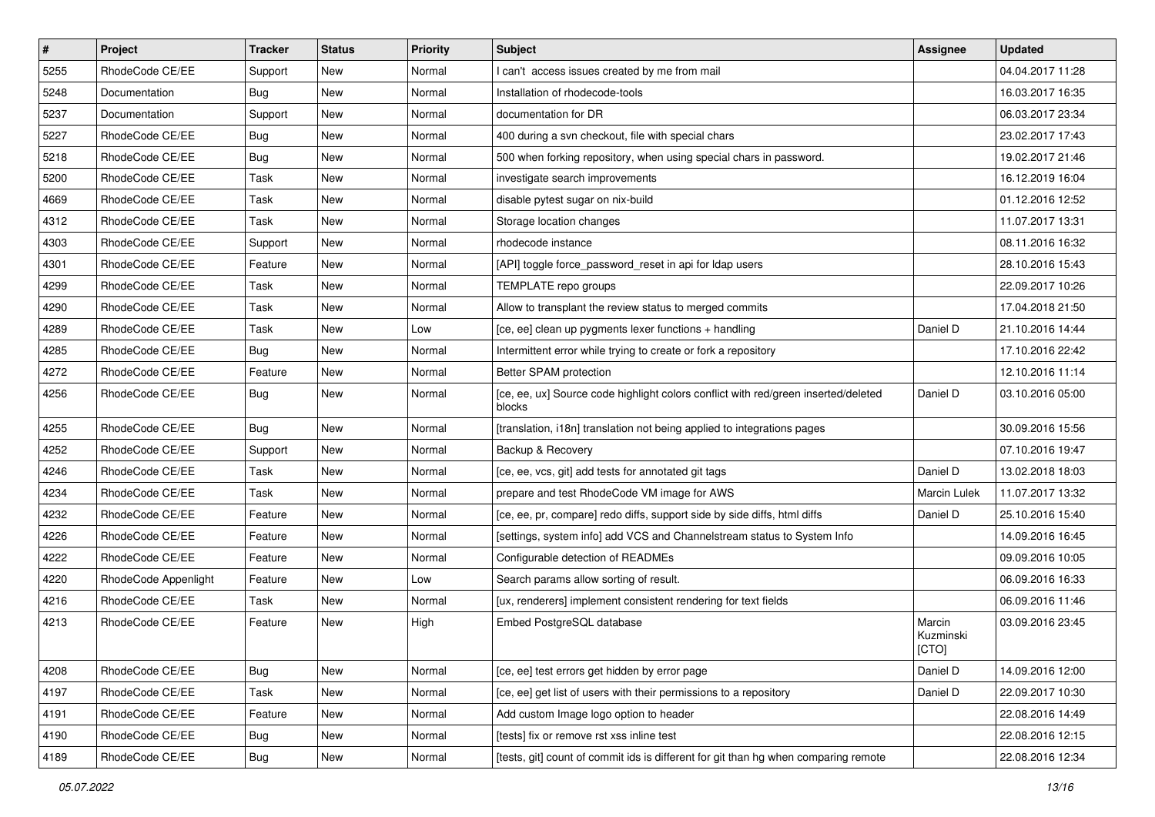| $\pmb{\#}$ | Project              | <b>Tracker</b> | <b>Status</b> | <b>Priority</b> | <b>Subject</b>                                                                               | <b>Assignee</b>              | <b>Updated</b>   |
|------------|----------------------|----------------|---------------|-----------------|----------------------------------------------------------------------------------------------|------------------------------|------------------|
| 5255       | RhodeCode CE/EE      | Support        | New           | Normal          | I can't access issues created by me from mail                                                |                              | 04.04.2017 11:28 |
| 5248       | Documentation        | Bug            | <b>New</b>    | Normal          | Installation of rhodecode-tools                                                              |                              | 16.03.2017 16:35 |
| 5237       | Documentation        | Support        | New           | Normal          | documentation for DR                                                                         |                              | 06.03.2017 23:34 |
| 5227       | RhodeCode CE/EE      | Bug            | New           | Normal          | 400 during a svn checkout, file with special chars                                           |                              | 23.02.2017 17:43 |
| 5218       | RhodeCode CE/EE      | Bug            | <b>New</b>    | Normal          | 500 when forking repository, when using special chars in password.                           |                              | 19.02.2017 21:46 |
| 5200       | RhodeCode CE/EE      | Task           | New           | Normal          | investigate search improvements                                                              |                              | 16.12.2019 16:04 |
| 4669       | RhodeCode CE/EE      | Task           | <b>New</b>    | Normal          | disable pytest sugar on nix-build                                                            |                              | 01.12.2016 12:52 |
| 4312       | RhodeCode CE/EE      | Task           | New           | Normal          | Storage location changes                                                                     |                              | 11.07.2017 13:31 |
| 4303       | RhodeCode CE/EE      | Support        | New           | Normal          | rhodecode instance                                                                           |                              | 08.11.2016 16:32 |
| 4301       | RhodeCode CE/EE      | Feature        | <b>New</b>    | Normal          | [API] toggle force_password_reset in api for Idap users                                      |                              | 28.10.2016 15:43 |
| 4299       | RhodeCode CE/EE      | Task           | New           | Normal          | TEMPLATE repo groups                                                                         |                              | 22.09.2017 10:26 |
| 4290       | RhodeCode CE/EE      | Task           | New           | Normal          | Allow to transplant the review status to merged commits                                      |                              | 17.04.2018 21:50 |
| 4289       | RhodeCode CE/EE      | Task           | New           | Low             | [ce, ee] clean up pygments lexer functions + handling                                        | Daniel D                     | 21.10.2016 14:44 |
| 4285       | RhodeCode CE/EE      | Bug            | New           | Normal          | Intermittent error while trying to create or fork a repository                               |                              | 17.10.2016 22:42 |
| 4272       | RhodeCode CE/EE      | Feature        | <b>New</b>    | Normal          | Better SPAM protection                                                                       |                              | 12.10.2016 11:14 |
| 4256       | RhodeCode CE/EE      | Bug            | New           | Normal          | [ce, ee, ux] Source code highlight colors conflict with red/green inserted/deleted<br>blocks | Daniel D                     | 03.10.2016 05:00 |
| 4255       | RhodeCode CE/EE      | Bug            | <b>New</b>    | Normal          | [translation, i18n] translation not being applied to integrations pages                      |                              | 30.09.2016 15:56 |
| 4252       | RhodeCode CE/EE      | Support        | New           | Normal          | Backup & Recovery                                                                            |                              | 07.10.2016 19:47 |
| 4246       | RhodeCode CE/EE      | Task           | New           | Normal          | [ce, ee, vcs, git] add tests for annotated git tags                                          | Daniel D                     | 13.02.2018 18:03 |
| 4234       | RhodeCode CE/EE      | Task           | New           | Normal          | prepare and test RhodeCode VM image for AWS                                                  | <b>Marcin Lulek</b>          | 11.07.2017 13:32 |
| 4232       | RhodeCode CE/EE      | Feature        | New           | Normal          | [ce, ee, pr, compare] redo diffs, support side by side diffs, html diffs                     | Daniel D                     | 25.10.2016 15:40 |
| 4226       | RhodeCode CE/EE      | Feature        | <b>New</b>    | Normal          | [settings, system info] add VCS and Channelstream status to System Info                      |                              | 14.09.2016 16:45 |
| 4222       | RhodeCode CE/EE      | Feature        | New           | Normal          | Configurable detection of READMEs                                                            |                              | 09.09.2016 10:05 |
| 4220       | RhodeCode Appenlight | Feature        | New           | Low             | Search params allow sorting of result.                                                       |                              | 06.09.2016 16:33 |
| 4216       | RhodeCode CE/EE      | Task           | New           | Normal          | [ux, renderers] implement consistent rendering for text fields                               |                              | 06.09.2016 11:46 |
| 4213       | RhodeCode CE/EE      | Feature        | <b>New</b>    | High            | Embed PostgreSQL database                                                                    | Marcin<br>Kuzminski<br>[CTO] | 03.09.2016 23:45 |
| 4208       | RhodeCode CE/EE      | Bug            | New           | Normal          | [ce, ee] test errors get hidden by error page                                                | Daniel D                     | 14.09.2016 12:00 |
| 4197       | RhodeCode CE/EE      | Task           | New           | Normal          | [ce, ee] get list of users with their permissions to a repository                            | Daniel D                     | 22.09.2017 10:30 |
| 4191       | RhodeCode CE/EE      | Feature        | New           | Normal          | Add custom Image logo option to header                                                       |                              | 22.08.2016 14:49 |
| 4190       | RhodeCode CE/EE      | <b>Bug</b>     | New           | Normal          | [tests] fix or remove rst xss inline test                                                    |                              | 22.08.2016 12:15 |
| 4189       | RhodeCode CE/EE      | Bug            | New           | Normal          | [tests, git] count of commit ids is different for git than hg when comparing remote          |                              | 22.08.2016 12:34 |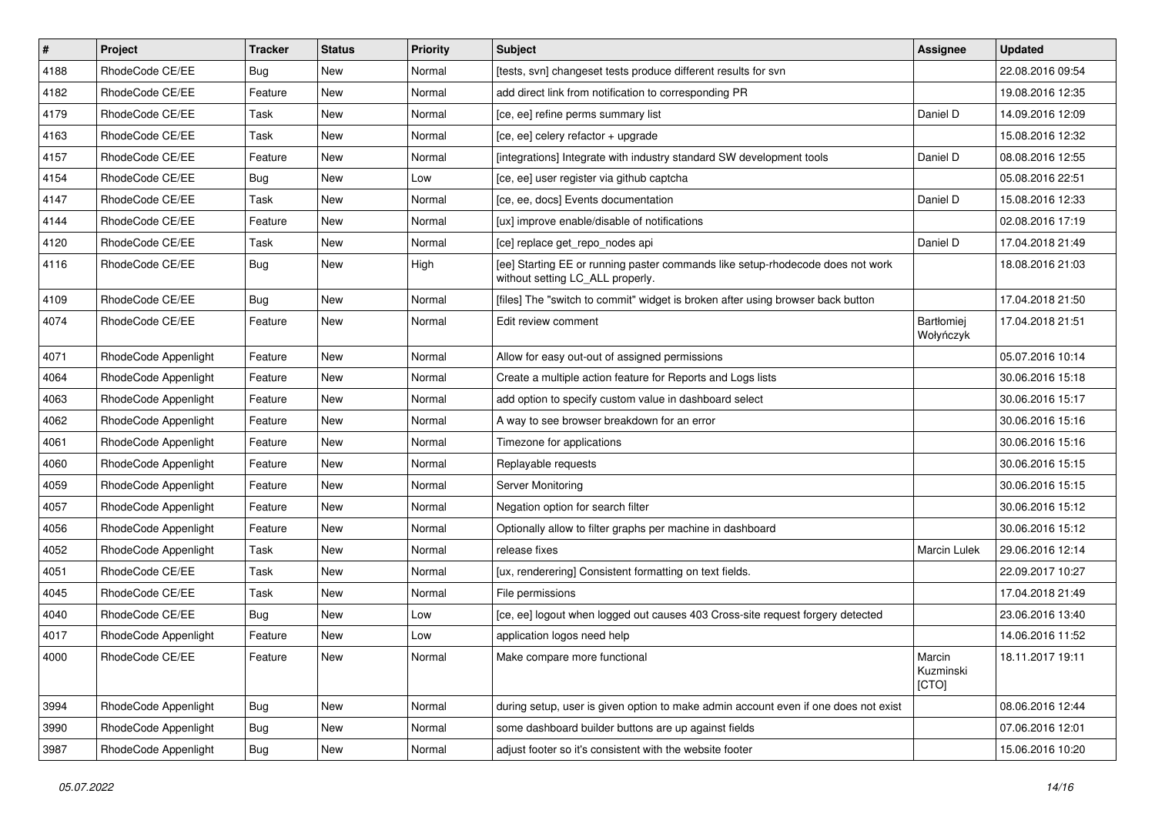| $\pmb{\#}$ | Project              | <b>Tracker</b> | <b>Status</b> | Priority | <b>Subject</b>                                                                                                     | <b>Assignee</b>              | <b>Updated</b>   |
|------------|----------------------|----------------|---------------|----------|--------------------------------------------------------------------------------------------------------------------|------------------------------|------------------|
| 4188       | RhodeCode CE/EE      | Bug            | New           | Normal   | [tests, svn] changeset tests produce different results for svn                                                     |                              | 22.08.2016 09:54 |
| 4182       | RhodeCode CE/EE      | Feature        | New           | Normal   | add direct link from notification to corresponding PR                                                              |                              | 19.08.2016 12:35 |
| 4179       | RhodeCode CE/EE      | Task           | New           | Normal   | [ce, ee] refine perms summary list                                                                                 | Daniel D                     | 14.09.2016 12:09 |
| 4163       | RhodeCode CE/EE      | Task           | New           | Normal   | [ce, ee] celery refactor + upgrade                                                                                 |                              | 15.08.2016 12:32 |
| 4157       | RhodeCode CE/EE      | Feature        | <b>New</b>    | Normal   | [integrations] Integrate with industry standard SW development tools                                               | Daniel D                     | 08.08.2016 12:55 |
| 4154       | RhodeCode CE/EE      | Bug            | New           | Low      | [ce, ee] user register via github captcha                                                                          |                              | 05.08.2016 22:51 |
| 4147       | RhodeCode CE/EE      | Task           | New           | Normal   | [ce, ee, docs] Events documentation                                                                                | Daniel D                     | 15.08.2016 12:33 |
| 4144       | RhodeCode CE/EE      | Feature        | New           | Normal   | [ux] improve enable/disable of notifications                                                                       |                              | 02.08.2016 17:19 |
| 4120       | RhodeCode CE/EE      | Task           | New           | Normal   | [ce] replace get_repo_nodes api                                                                                    | Daniel D                     | 17.04.2018 21:49 |
| 4116       | RhodeCode CE/EE      | Bug            | New           | High     | [ee] Starting EE or running paster commands like setup-rhodecode does not work<br>without setting LC_ALL properly. |                              | 18.08.2016 21:03 |
| 4109       | RhodeCode CE/EE      | <b>Bug</b>     | New           | Normal   | [files] The "switch to commit" widget is broken after using browser back button                                    |                              | 17.04.2018 21:50 |
| 4074       | RhodeCode CE/EE      | Feature        | New           | Normal   | Edit review comment                                                                                                | Bartłomiej<br>Wołyńczyk      | 17.04.2018 21:51 |
| 4071       | RhodeCode Appenlight | Feature        | <b>New</b>    | Normal   | Allow for easy out-out of assigned permissions                                                                     |                              | 05.07.2016 10:14 |
| 4064       | RhodeCode Appenlight | Feature        | New           | Normal   | Create a multiple action feature for Reports and Logs lists                                                        |                              | 30.06.2016 15:18 |
| 4063       | RhodeCode Appenlight | Feature        | New           | Normal   | add option to specify custom value in dashboard select                                                             |                              | 30.06.2016 15:17 |
| 4062       | RhodeCode Appenlight | Feature        | New           | Normal   | A way to see browser breakdown for an error                                                                        |                              | 30.06.2016 15:16 |
| 4061       | RhodeCode Appenlight | Feature        | New           | Normal   | Timezone for applications                                                                                          |                              | 30.06.2016 15:16 |
| 4060       | RhodeCode Appenlight | Feature        | New           | Normal   | Replayable requests                                                                                                |                              | 30.06.2016 15:15 |
| 4059       | RhodeCode Appenlight | Feature        | <b>New</b>    | Normal   | Server Monitoring                                                                                                  |                              | 30.06.2016 15:15 |
| 4057       | RhodeCode Appenlight | Feature        | New           | Normal   | Negation option for search filter                                                                                  |                              | 30.06.2016 15:12 |
| 4056       | RhodeCode Appenlight | Feature        | New           | Normal   | Optionally allow to filter graphs per machine in dashboard                                                         |                              | 30.06.2016 15:12 |
| 4052       | RhodeCode Appenlight | Task           | New           | Normal   | release fixes                                                                                                      | Marcin Lulek                 | 29.06.2016 12:14 |
| 4051       | RhodeCode CE/EE      | Task           | New           | Normal   | [ux, renderering] Consistent formatting on text fields.                                                            |                              | 22.09.2017 10:27 |
| 4045       | RhodeCode CE/EE      | Task           | <b>New</b>    | Normal   | File permissions                                                                                                   |                              | 17.04.2018 21:49 |
| 4040       | RhodeCode CE/EE      | <b>Bug</b>     | New           | Low      | [ce, ee] logout when logged out causes 403 Cross-site request forgery detected                                     |                              | 23.06.2016 13:40 |
| 4017       | RhodeCode Appenlight | Feature        | New           | Low      | application logos need help                                                                                        |                              | 14.06.2016 11:52 |
| 4000       | RhodeCode CE/EE      | Feature        | New           | Normal   | Make compare more functional                                                                                       | Marcin<br>Kuzminski<br>[CTO] | 18.11.2017 19:11 |
| 3994       | RhodeCode Appenlight | Bug            | New           | Normal   | during setup, user is given option to make admin account even if one does not exist                                |                              | 08.06.2016 12:44 |
| 3990       | RhodeCode Appenlight | <b>Bug</b>     | New           | Normal   | some dashboard builder buttons are up against fields                                                               |                              | 07.06.2016 12:01 |
| 3987       | RhodeCode Appenlight | <b>Bug</b>     | New           | Normal   | adjust footer so it's consistent with the website footer                                                           |                              | 15.06.2016 10:20 |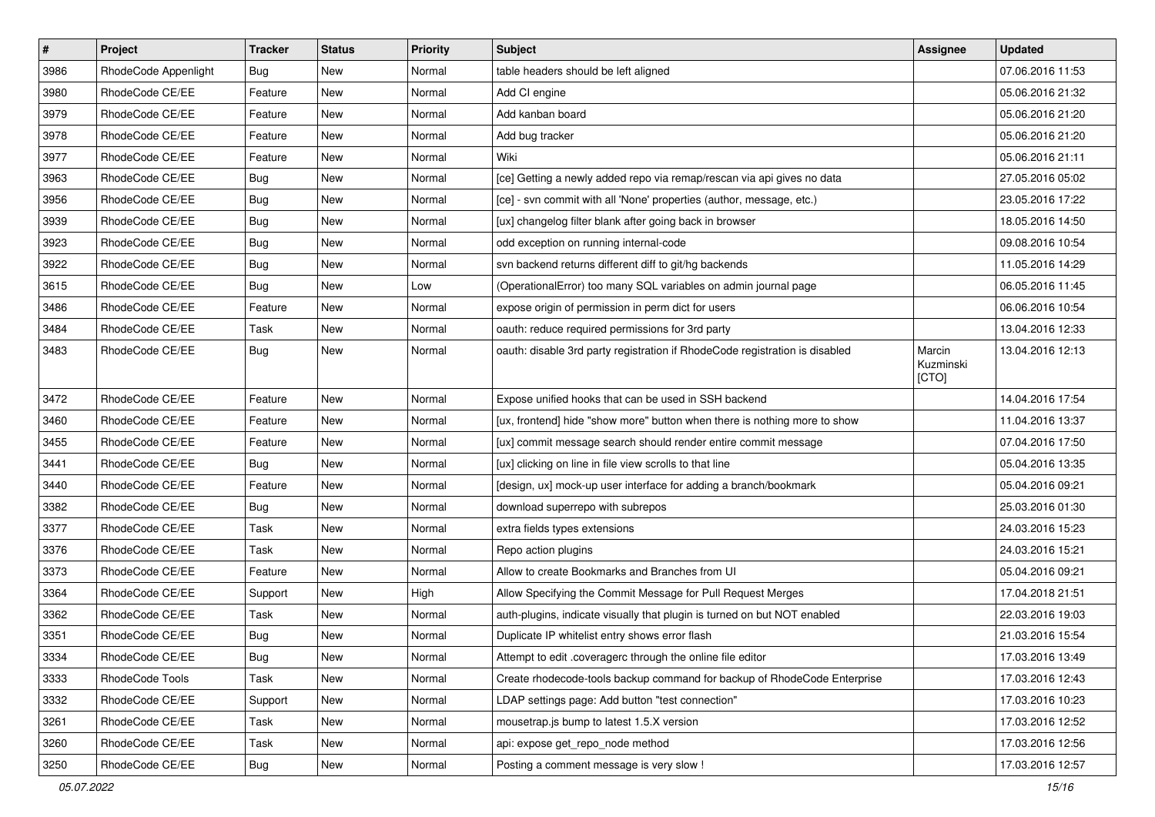| $\sharp$ | Project              | <b>Tracker</b> | <b>Status</b> | Priority | <b>Subject</b>                                                              | <b>Assignee</b>              | <b>Updated</b>   |
|----------|----------------------|----------------|---------------|----------|-----------------------------------------------------------------------------|------------------------------|------------------|
| 3986     | RhodeCode Appenlight | <b>Bug</b>     | New           | Normal   | table headers should be left aligned                                        |                              | 07.06.2016 11:53 |
| 3980     | RhodeCode CE/EE      | Feature        | <b>New</b>    | Normal   | Add CI engine                                                               |                              | 05.06.2016 21:32 |
| 3979     | RhodeCode CE/EE      | Feature        | New           | Normal   | Add kanban board                                                            |                              | 05.06.2016 21:20 |
| 3978     | RhodeCode CE/EE      | Feature        | New           | Normal   | Add bug tracker                                                             |                              | 05.06.2016 21:20 |
| 3977     | RhodeCode CE/EE      | Feature        | <b>New</b>    | Normal   | Wiki                                                                        |                              | 05.06.2016 21:11 |
| 3963     | RhodeCode CE/EE      | <b>Bug</b>     | New           | Normal   | [ce] Getting a newly added repo via remap/rescan via api gives no data      |                              | 27.05.2016 05:02 |
| 3956     | RhodeCode CE/EE      | Bug            | New           | Normal   | [ce] - svn commit with all 'None' properties (author, message, etc.)        |                              | 23.05.2016 17:22 |
| 3939     | RhodeCode CE/EE      | Bug            | New           | Normal   | [ux] changelog filter blank after going back in browser                     |                              | 18.05.2016 14:50 |
| 3923     | RhodeCode CE/EE      | Bug            | <b>New</b>    | Normal   | odd exception on running internal-code                                      |                              | 09.08.2016 10:54 |
| 3922     | RhodeCode CE/EE      | Bug            | <b>New</b>    | Normal   | svn backend returns different diff to git/hg backends                       |                              | 11.05.2016 14:29 |
| 3615     | RhodeCode CE/EE      | Bug            | New           | Low      | (OperationalError) too many SQL variables on admin journal page             |                              | 06.05.2016 11:45 |
| 3486     | RhodeCode CE/EE      | Feature        | New           | Normal   | expose origin of permission in perm dict for users                          |                              | 06.06.2016 10:54 |
| 3484     | RhodeCode CE/EE      | Task           | <b>New</b>    | Normal   | oauth: reduce required permissions for 3rd party                            |                              | 13.04.2016 12:33 |
| 3483     | RhodeCode CE/EE      | Bug            | New           | Normal   | oauth: disable 3rd party registration if RhodeCode registration is disabled | Marcin<br>Kuzminski<br>[CTO] | 13.04.2016 12:13 |
| 3472     | RhodeCode CE/EE      | Feature        | <b>New</b>    | Normal   | Expose unified hooks that can be used in SSH backend                        |                              | 14.04.2016 17:54 |
| 3460     | RhodeCode CE/EE      | Feature        | <b>New</b>    | Normal   | [ux, frontend] hide "show more" button when there is nothing more to show   |                              | 11.04.2016 13:37 |
| 3455     | RhodeCode CE/EE      | Feature        | New           | Normal   | [ux] commit message search should render entire commit message              |                              | 07.04.2016 17:50 |
| 3441     | RhodeCode CE/EE      | Bug            | New           | Normal   | [ux] clicking on line in file view scrolls to that line                     |                              | 05.04.2016 13:35 |
| 3440     | RhodeCode CE/EE      | Feature        | <b>New</b>    | Normal   | [design, ux] mock-up user interface for adding a branch/bookmark            |                              | 05.04.2016 09:21 |
| 3382     | RhodeCode CE/EE      | Bug            | New           | Normal   | download superrepo with subrepos                                            |                              | 25.03.2016 01:30 |
| 3377     | RhodeCode CE/EE      | Task           | New           | Normal   | extra fields types extensions                                               |                              | 24.03.2016 15:23 |
| 3376     | RhodeCode CE/EE      | Task           | New           | Normal   | Repo action plugins                                                         |                              | 24.03.2016 15:21 |
| 3373     | RhodeCode CE/EE      | Feature        | <b>New</b>    | Normal   | Allow to create Bookmarks and Branches from UI                              |                              | 05.04.2016 09:21 |
| 3364     | RhodeCode CE/EE      | Support        | <b>New</b>    | High     | Allow Specifying the Commit Message for Pull Request Merges                 |                              | 17.04.2018 21:51 |
| 3362     | RhodeCode CE/EE      | Task           | New           | Normal   | auth-plugins, indicate visually that plugin is turned on but NOT enabled    |                              | 22.03.2016 19:03 |
| 3351     | RhodeCode CE/EE      | Bug            | New           | Normal   | Duplicate IP whitelist entry shows error flash                              |                              | 21.03.2016 15:54 |
| 3334     | RhodeCode CE/EE      | Bug            | New           | Normal   | Attempt to edit .coveragerc through the online file editor                  |                              | 17.03.2016 13:49 |
| 3333     | RhodeCode Tools      | Task           | New           | Normal   | Create rhodecode-tools backup command for backup of RhodeCode Enterprise    |                              | 17.03.2016 12:43 |
| 3332     | RhodeCode CE/EE      | Support        | New           | Normal   | LDAP settings page: Add button "test connection"                            |                              | 17.03.2016 10:23 |
| 3261     | RhodeCode CE/EE      | Task           | New           | Normal   | mousetrap.js bump to latest 1.5.X version                                   |                              | 17.03.2016 12:52 |
| 3260     | RhodeCode CE/EE      | Task           | New           | Normal   | api: expose get_repo_node method                                            |                              | 17.03.2016 12:56 |
| 3250     | RhodeCode CE/EE      | Bug            | New           | Normal   | Posting a comment message is very slow !                                    |                              | 17.03.2016 12:57 |